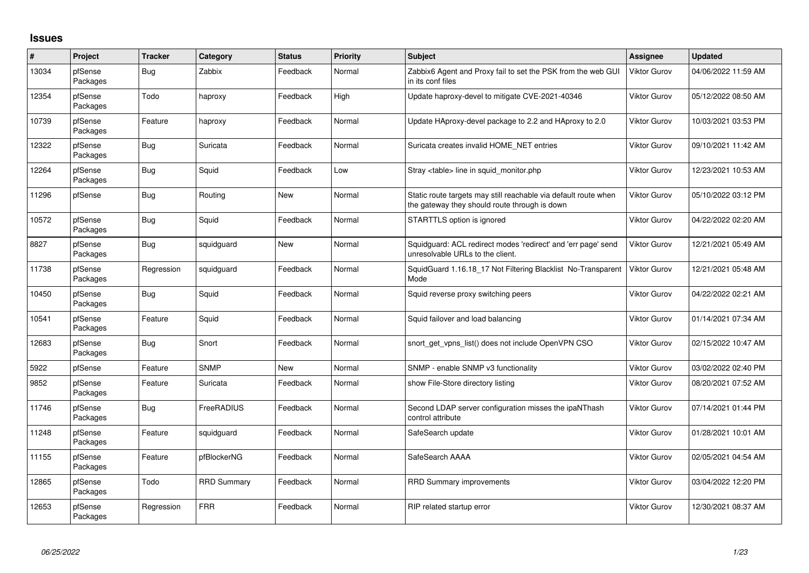## **Issues**

| $\pmb{\#}$ | Project             | <b>Tracker</b> | Category           | <b>Status</b> | Priority | <b>Subject</b>                                                                                                   | Assignee            | <b>Updated</b>      |
|------------|---------------------|----------------|--------------------|---------------|----------|------------------------------------------------------------------------------------------------------------------|---------------------|---------------------|
| 13034      | pfSense<br>Packages | Bug            | Zabbix             | Feedback      | Normal   | Zabbix6 Agent and Proxy fail to set the PSK from the web GUI<br>in its conf files                                | Viktor Gurov        | 04/06/2022 11:59 AM |
| 12354      | pfSense<br>Packages | Todo           | haproxy            | Feedback      | High     | Update haproxy-devel to mitigate CVE-2021-40346                                                                  | Viktor Gurov        | 05/12/2022 08:50 AM |
| 10739      | pfSense<br>Packages | Feature        | haproxy            | Feedback      | Normal   | Update HAproxy-devel package to 2.2 and HAproxy to 2.0                                                           | Viktor Gurov        | 10/03/2021 03:53 PM |
| 12322      | pfSense<br>Packages | <b>Bug</b>     | Suricata           | Feedback      | Normal   | Suricata creates invalid HOME_NET entries                                                                        | Viktor Gurov        | 09/10/2021 11:42 AM |
| 12264      | pfSense<br>Packages | <b>Bug</b>     | Squid              | Feedback      | Low      | Stray <table> line in squid monitor.php</table>                                                                  | <b>Viktor Gurov</b> | 12/23/2021 10:53 AM |
| 11296      | pfSense             | <b>Bug</b>     | Routing            | <b>New</b>    | Normal   | Static route targets may still reachable via default route when<br>the gateway they should route through is down | Viktor Gurov        | 05/10/2022 03:12 PM |
| 10572      | pfSense<br>Packages | <b>Bug</b>     | Squid              | Feedback      | Normal   | STARTTLS option is ignored                                                                                       | Viktor Gurov        | 04/22/2022 02:20 AM |
| 8827       | pfSense<br>Packages | Bug            | squidguard         | New           | Normal   | Squidguard: ACL redirect modes 'redirect' and 'err page' send<br>unresolvable URLs to the client.                | Viktor Gurov        | 12/21/2021 05:49 AM |
| 11738      | pfSense<br>Packages | Regression     | squidguard         | Feedback      | Normal   | SquidGuard 1.16.18_17 Not Filtering Blacklist No-Transparent<br>Mode                                             | Viktor Gurov        | 12/21/2021 05:48 AM |
| 10450      | pfSense<br>Packages | <b>Bug</b>     | Squid              | Feedback      | Normal   | Squid reverse proxy switching peers                                                                              | Viktor Gurov        | 04/22/2022 02:21 AM |
| 10541      | pfSense<br>Packages | Feature        | Squid              | Feedback      | Normal   | Squid failover and load balancing                                                                                | Viktor Gurov        | 01/14/2021 07:34 AM |
| 12683      | pfSense<br>Packages | <b>Bug</b>     | Snort              | Feedback      | Normal   | snort get vpns list() does not include OpenVPN CSO                                                               | Viktor Gurov        | 02/15/2022 10:47 AM |
| 5922       | pfSense             | Feature        | <b>SNMP</b>        | <b>New</b>    | Normal   | SNMP - enable SNMP v3 functionality                                                                              | <b>Viktor Gurov</b> | 03/02/2022 02:40 PM |
| 9852       | pfSense<br>Packages | Feature        | Suricata           | Feedback      | Normal   | show File-Store directory listing                                                                                | <b>Viktor Gurov</b> | 08/20/2021 07:52 AM |
| 11746      | pfSense<br>Packages | <b>Bug</b>     | FreeRADIUS         | Feedback      | Normal   | Second LDAP server configuration misses the ipaNThash<br>control attribute                                       | <b>Viktor Gurov</b> | 07/14/2021 01:44 PM |
| 11248      | pfSense<br>Packages | Feature        | squidguard         | Feedback      | Normal   | SafeSearch update                                                                                                | <b>Viktor Gurov</b> | 01/28/2021 10:01 AM |
| 11155      | pfSense<br>Packages | Feature        | pfBlockerNG        | Feedback      | Normal   | SafeSearch AAAA                                                                                                  | Viktor Gurov        | 02/05/2021 04:54 AM |
| 12865      | pfSense<br>Packages | Todo           | <b>RRD Summary</b> | Feedback      | Normal   | <b>RRD Summary improvements</b>                                                                                  | Viktor Gurov        | 03/04/2022 12:20 PM |
| 12653      | pfSense<br>Packages | Regression     | <b>FRR</b>         | Feedback      | Normal   | RIP related startup error                                                                                        | Viktor Gurov        | 12/30/2021 08:37 AM |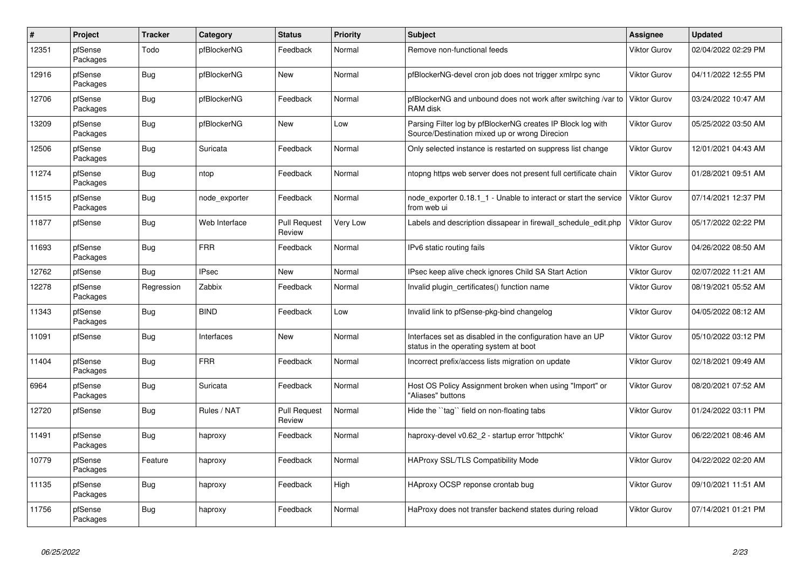| $\#$  | Project             | <b>Tracker</b> | Category      | <b>Status</b>                 | <b>Priority</b> | <b>Subject</b>                                                                                               | Assignee            | <b>Updated</b>      |
|-------|---------------------|----------------|---------------|-------------------------------|-----------------|--------------------------------------------------------------------------------------------------------------|---------------------|---------------------|
| 12351 | pfSense<br>Packages | Todo           | pfBlockerNG   | Feedback                      | Normal          | Remove non-functional feeds                                                                                  | Viktor Gurov        | 02/04/2022 02:29 PM |
| 12916 | pfSense<br>Packages | Bug            | pfBlockerNG   | <b>New</b>                    | Normal          | pfBlockerNG-devel cron job does not trigger xmlrpc sync                                                      | Viktor Gurov        | 04/11/2022 12:55 PM |
| 12706 | pfSense<br>Packages | Bug            | pfBlockerNG   | Feedback                      | Normal          | pfBlockerNG and unbound does not work after switching /var to<br>RAM disk                                    | <b>Viktor Gurov</b> | 03/24/2022 10:47 AM |
| 13209 | pfSense<br>Packages | <b>Bug</b>     | pfBlockerNG   | <b>New</b>                    | Low             | Parsing Filter log by pfBlockerNG creates IP Block log with<br>Source/Destination mixed up or wrong Direcion | Viktor Gurov        | 05/25/2022 03:50 AM |
| 12506 | pfSense<br>Packages | <b>Bug</b>     | Suricata      | Feedback                      | Normal          | Only selected instance is restarted on suppress list change                                                  | Viktor Gurov        | 12/01/2021 04:43 AM |
| 11274 | pfSense<br>Packages | <b>Bug</b>     | ntop          | Feedback                      | Normal          | ntopng https web server does not present full certificate chain                                              | Viktor Gurov        | 01/28/2021 09:51 AM |
| 11515 | pfSense<br>Packages | Bug            | node exporter | Feedback                      | Normal          | node exporter 0.18.1 1 - Unable to interact or start the service<br>from web ui                              | <b>Viktor Gurov</b> | 07/14/2021 12:37 PM |
| 11877 | pfSense             | <b>Bug</b>     | Web Interface | <b>Pull Request</b><br>Review | Very Low        | Labels and description dissapear in firewall schedule edit.php                                               | Viktor Gurov        | 05/17/2022 02:22 PM |
| 11693 | pfSense<br>Packages | <b>Bug</b>     | <b>FRR</b>    | Feedback                      | Normal          | IPv6 static routing fails                                                                                    | Viktor Gurov        | 04/26/2022 08:50 AM |
| 12762 | pfSense             | Bug            | <b>IPsec</b>  | New                           | Normal          | IPsec keep alive check ignores Child SA Start Action                                                         | Viktor Gurov        | 02/07/2022 11:21 AM |
| 12278 | pfSense<br>Packages | Regression     | Zabbix        | Feedback                      | Normal          | Invalid plugin_certificates() function name                                                                  | Viktor Gurov        | 08/19/2021 05:52 AM |
| 11343 | pfSense<br>Packages | Bug            | <b>BIND</b>   | Feedback                      | Low             | Invalid link to pfSense-pkg-bind changelog                                                                   | Viktor Gurov        | 04/05/2022 08:12 AM |
| 11091 | pfSense             | <b>Bug</b>     | Interfaces    | New                           | Normal          | Interfaces set as disabled in the configuration have an UP<br>status in the operating system at boot         | Viktor Gurov        | 05/10/2022 03:12 PM |
| 11404 | pfSense<br>Packages | Bug            | <b>FRR</b>    | Feedback                      | Normal          | Incorrect prefix/access lists migration on update                                                            | Viktor Gurov        | 02/18/2021 09:49 AM |
| 6964  | pfSense<br>Packages | <b>Bug</b>     | Suricata      | Feedback                      | Normal          | Host OS Policy Assignment broken when using "Import" or<br>"Aliases" buttons                                 | Viktor Gurov        | 08/20/2021 07:52 AM |
| 12720 | pfSense             | Bug            | Rules / NAT   | <b>Pull Request</b><br>Review | Normal          | Hide the "tag" field on non-floating tabs                                                                    | Viktor Gurov        | 01/24/2022 03:11 PM |
| 11491 | pfSense<br>Packages | <b>Bug</b>     | haproxy       | Feedback                      | Normal          | haproxy-devel v0.62_2 - startup error 'httpchk'                                                              | Viktor Gurov        | 06/22/2021 08:46 AM |
| 10779 | pfSense<br>Packages | Feature        | haproxy       | Feedback                      | Normal          | HAProxy SSL/TLS Compatibility Mode                                                                           | Viktor Gurov        | 04/22/2022 02:20 AM |
| 11135 | pfSense<br>Packages | Bug            | haproxy       | Feedback                      | High            | HAproxy OCSP reponse crontab bug                                                                             | Viktor Gurov        | 09/10/2021 11:51 AM |
| 11756 | pfSense<br>Packages | <b>Bug</b>     | haproxy       | Feedback                      | Normal          | HaProxy does not transfer backend states during reload                                                       | Viktor Gurov        | 07/14/2021 01:21 PM |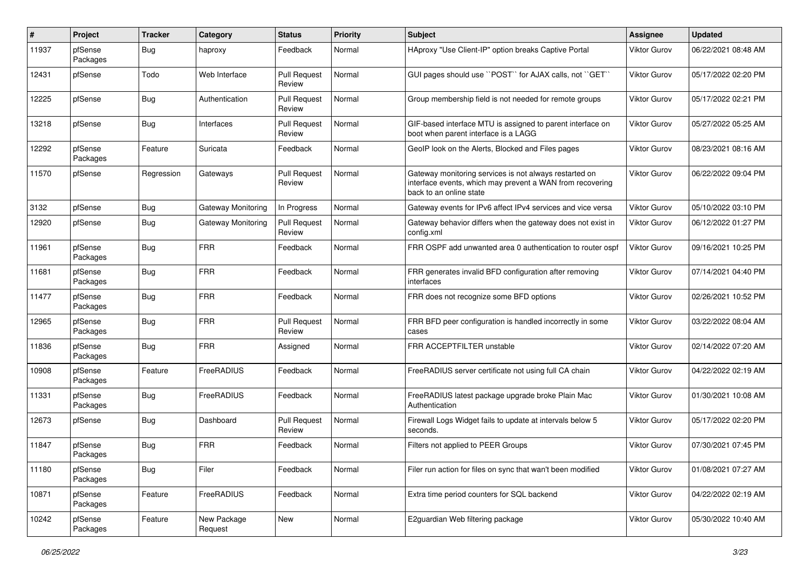| $\pmb{\#}$ | Project             | <b>Tracker</b> | Category               | <b>Status</b>                 | <b>Priority</b> | <b>Subject</b>                                                                                                                                 | Assignee            | <b>Updated</b>      |
|------------|---------------------|----------------|------------------------|-------------------------------|-----------------|------------------------------------------------------------------------------------------------------------------------------------------------|---------------------|---------------------|
| 11937      | pfSense<br>Packages | <b>Bug</b>     | haproxy                | Feedback                      | Normal          | HAproxy "Use Client-IP" option breaks Captive Portal                                                                                           | Viktor Gurov        | 06/22/2021 08:48 AM |
| 12431      | pfSense             | Todo           | Web Interface          | <b>Pull Request</b><br>Review | Normal          | GUI pages should use "POST" for AJAX calls, not "GET"                                                                                          | Viktor Gurov        | 05/17/2022 02:20 PM |
| 12225      | pfSense             | Bug            | Authentication         | <b>Pull Request</b><br>Review | Normal          | Group membership field is not needed for remote groups                                                                                         | Viktor Gurov        | 05/17/2022 02:21 PM |
| 13218      | pfSense             | Bug            | Interfaces             | <b>Pull Request</b><br>Review | Normal          | GIF-based interface MTU is assigned to parent interface on<br>boot when parent interface is a LAGG                                             | Viktor Gurov        | 05/27/2022 05:25 AM |
| 12292      | pfSense<br>Packages | Feature        | Suricata               | Feedback                      | Normal          | GeoIP look on the Alerts, Blocked and Files pages                                                                                              | Viktor Gurov        | 08/23/2021 08:16 AM |
| 11570      | pfSense             | Regression     | Gateways               | <b>Pull Request</b><br>Review | Normal          | Gateway monitoring services is not always restarted on<br>interface events, which may prevent a WAN from recovering<br>back to an online state | Viktor Gurov        | 06/22/2022 09:04 PM |
| 3132       | pfSense             | Bug            | Gateway Monitoring     | In Progress                   | Normal          | Gateway events for IPv6 affect IPv4 services and vice versa                                                                                    | Viktor Gurov        | 05/10/2022 03:10 PM |
| 12920      | pfSense             | Bug            | Gateway Monitoring     | <b>Pull Request</b><br>Review | Normal          | Gateway behavior differs when the gateway does not exist in<br>config.xml                                                                      | Viktor Gurov        | 06/12/2022 01:27 PM |
| 11961      | pfSense<br>Packages | Bug            | <b>FRR</b>             | Feedback                      | Normal          | FRR OSPF add unwanted area 0 authentication to router ospf                                                                                     | Viktor Gurov        | 09/16/2021 10:25 PM |
| 11681      | pfSense<br>Packages | Bug            | <b>FRR</b>             | Feedback                      | Normal          | FRR generates invalid BFD configuration after removing<br>interfaces                                                                           | Viktor Gurov        | 07/14/2021 04:40 PM |
| 11477      | pfSense<br>Packages | Bug            | <b>FRR</b>             | Feedback                      | Normal          | FRR does not recognize some BFD options                                                                                                        | Viktor Gurov        | 02/26/2021 10:52 PM |
| 12965      | pfSense<br>Packages | Bug            | <b>FRR</b>             | <b>Pull Request</b><br>Review | Normal          | FRR BFD peer configuration is handled incorrectly in some<br>cases                                                                             | Viktor Gurov        | 03/22/2022 08:04 AM |
| 11836      | pfSense<br>Packages | Bug            | <b>FRR</b>             | Assigned                      | Normal          | FRR ACCEPTFILTER unstable                                                                                                                      | Viktor Gurov        | 02/14/2022 07:20 AM |
| 10908      | pfSense<br>Packages | Feature        | FreeRADIUS             | Feedback                      | Normal          | FreeRADIUS server certificate not using full CA chain                                                                                          | Viktor Gurov        | 04/22/2022 02:19 AM |
| 11331      | pfSense<br>Packages | Bug            | FreeRADIUS             | Feedback                      | Normal          | FreeRADIUS latest package upgrade broke Plain Mac<br>Authentication                                                                            | Viktor Gurov        | 01/30/2021 10:08 AM |
| 12673      | pfSense             | Bug            | Dashboard              | <b>Pull Request</b><br>Review | Normal          | Firewall Logs Widget fails to update at intervals below 5<br>seconds.                                                                          | Viktor Gurov        | 05/17/2022 02:20 PM |
| 11847      | pfSense<br>Packages | Bug            | <b>FRR</b>             | Feedback                      | Normal          | Filters not applied to PEER Groups                                                                                                             | Viktor Gurov        | 07/30/2021 07:45 PM |
| 11180      | pfSense<br>Packages | <b>Bug</b>     | Filer                  | Feedback                      | Normal          | Filer run action for files on sync that wan't been modified                                                                                    | <b>Viktor Gurov</b> | 01/08/2021 07:27 AM |
| 10871      | pfSense<br>Packages | Feature        | FreeRADIUS             | Feedback                      | Normal          | Extra time period counters for SQL backend                                                                                                     | Viktor Gurov        | 04/22/2022 02:19 AM |
| 10242      | pfSense<br>Packages | Feature        | New Package<br>Request | New                           | Normal          | E2guardian Web filtering package                                                                                                               | <b>Viktor Gurov</b> | 05/30/2022 10:40 AM |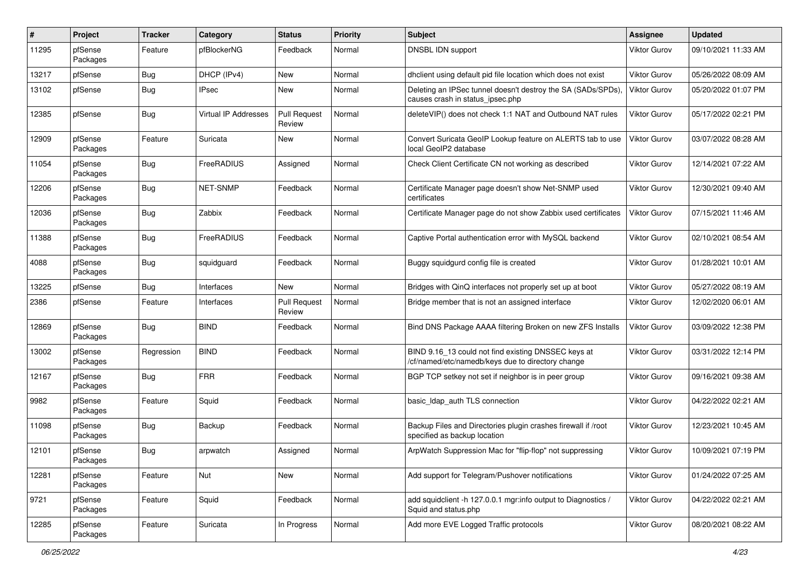| $\pmb{\#}$ | Project             | <b>Tracker</b> | Category                    | <b>Status</b>                 | <b>Priority</b> | <b>Subject</b>                                                                                           | Assignee            | <b>Updated</b>      |
|------------|---------------------|----------------|-----------------------------|-------------------------------|-----------------|----------------------------------------------------------------------------------------------------------|---------------------|---------------------|
| 11295      | pfSense<br>Packages | Feature        | pfBlockerNG                 | Feedback                      | Normal          | DNSBL IDN support                                                                                        | Viktor Gurov        | 09/10/2021 11:33 AM |
| 13217      | pfSense             | Bug            | DHCP (IPv4)                 | New                           | Normal          | dhclient using default pid file location which does not exist                                            | Viktor Gurov        | 05/26/2022 08:09 AM |
| 13102      | pfSense             | Bug            | IPsec                       | New                           | Normal          | Deleting an IPSec tunnel doesn't destroy the SA (SADs/SPDs),<br>causes crash in status_ipsec.php         | Viktor Gurov        | 05/20/2022 01:07 PM |
| 12385      | pfSense             | Bug            | <b>Virtual IP Addresses</b> | <b>Pull Request</b><br>Review | Normal          | deleteVIP() does not check 1:1 NAT and Outbound NAT rules                                                | <b>Viktor Gurov</b> | 05/17/2022 02:21 PM |
| 12909      | pfSense<br>Packages | Feature        | Suricata                    | New                           | Normal          | Convert Suricata GeoIP Lookup feature on ALERTS tab to use<br>local GeoIP2 database                      | <b>Viktor Gurov</b> | 03/07/2022 08:28 AM |
| 11054      | pfSense<br>Packages | Bug            | FreeRADIUS                  | Assigned                      | Normal          | Check Client Certificate CN not working as described                                                     | Viktor Gurov        | 12/14/2021 07:22 AM |
| 12206      | pfSense<br>Packages | Bug            | <b>NET-SNMP</b>             | Feedback                      | Normal          | Certificate Manager page doesn't show Net-SNMP used<br>certificates                                      | Viktor Gurov        | 12/30/2021 09:40 AM |
| 12036      | pfSense<br>Packages | Bug            | Zabbix                      | Feedback                      | Normal          | Certificate Manager page do not show Zabbix used certificates                                            | Viktor Gurov        | 07/15/2021 11:46 AM |
| 11388      | pfSense<br>Packages | <b>Bug</b>     | FreeRADIUS                  | Feedback                      | Normal          | Captive Portal authentication error with MySQL backend                                                   | <b>Viktor Gurov</b> | 02/10/2021 08:54 AM |
| 4088       | pfSense<br>Packages | Bug            | squidguard                  | Feedback                      | Normal          | Buggy squidgurd config file is created                                                                   | Viktor Gurov        | 01/28/2021 10:01 AM |
| 13225      | pfSense             | Bug            | Interfaces                  | New                           | Normal          | Bridges with QinQ interfaces not properly set up at boot                                                 | Viktor Gurov        | 05/27/2022 08:19 AM |
| 2386       | pfSense             | Feature        | Interfaces                  | <b>Pull Request</b><br>Review | Normal          | Bridge member that is not an assigned interface                                                          | Viktor Gurov        | 12/02/2020 06:01 AM |
| 12869      | pfSense<br>Packages | Bug            | <b>BIND</b>                 | Feedback                      | Normal          | Bind DNS Package AAAA filtering Broken on new ZFS Installs                                               | <b>Viktor Gurov</b> | 03/09/2022 12:38 PM |
| 13002      | pfSense<br>Packages | Regression     | <b>BIND</b>                 | Feedback                      | Normal          | BIND 9.16_13 could not find existing DNSSEC keys at<br>/cf/named/etc/namedb/keys due to directory change | <b>Viktor Gurov</b> | 03/31/2022 12:14 PM |
| 12167      | pfSense<br>Packages | <b>Bug</b>     | <b>FRR</b>                  | Feedback                      | Normal          | BGP TCP setkey not set if neighbor is in peer group                                                      | <b>Viktor Gurov</b> | 09/16/2021 09:38 AM |
| 9982       | pfSense<br>Packages | Feature        | Squid                       | Feedback                      | Normal          | basic_Idap_auth TLS connection                                                                           | Viktor Gurov        | 04/22/2022 02:21 AM |
| 11098      | pfSense<br>Packages | Bug            | Backup                      | Feedback                      | Normal          | Backup Files and Directories plugin crashes firewall if /root<br>specified as backup location            | Viktor Gurov        | 12/23/2021 10:45 AM |
| 12101      | pfSense<br>Packages | Bug            | arpwatch                    | Assigned                      | Normal          | ArpWatch Suppression Mac for "flip-flop" not suppressing                                                 | <b>Viktor Gurov</b> | 10/09/2021 07:19 PM |
| 12281      | pfSense<br>Packages | Feature        | Nut                         | New                           | Normal          | Add support for Telegram/Pushover notifications                                                          | <b>Viktor Gurov</b> | 01/24/2022 07:25 AM |
| 9721       | pfSense<br>Packages | Feature        | Squid                       | Feedback                      | Normal          | add squidclient -h 127.0.0.1 mgr:info output to Diagnostics /<br>Squid and status.php                    | Viktor Gurov        | 04/22/2022 02:21 AM |
| 12285      | pfSense<br>Packages | Feature        | Suricata                    | In Progress                   | Normal          | Add more EVE Logged Traffic protocols                                                                    | Viktor Gurov        | 08/20/2021 08:22 AM |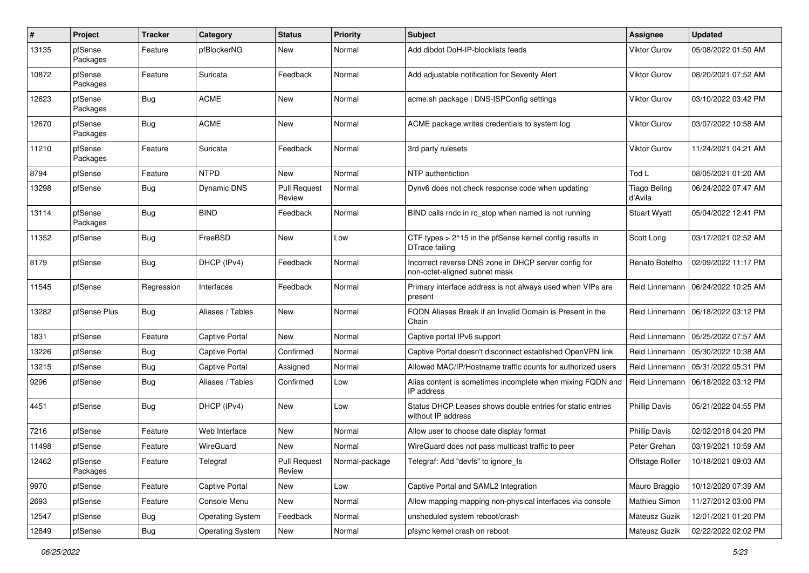| #     | Project             | <b>Tracker</b> | Category                | <b>Status</b>                 | <b>Priority</b> | <b>Subject</b>                                                                        | Assignee                       | <b>Updated</b>      |
|-------|---------------------|----------------|-------------------------|-------------------------------|-----------------|---------------------------------------------------------------------------------------|--------------------------------|---------------------|
| 13135 | pfSense<br>Packages | Feature        | pfBlockerNG             | New                           | Normal          | Add dibdot DoH-IP-blocklists feeds                                                    | Viktor Gurov                   | 05/08/2022 01:50 AM |
| 10872 | pfSense<br>Packages | Feature        | Suricata                | Feedback                      | Normal          | Add adjustable notification for Severity Alert                                        | Viktor Gurov                   | 08/20/2021 07:52 AM |
| 12623 | pfSense<br>Packages | <b>Bug</b>     | <b>ACME</b>             | <b>New</b>                    | Normal          | acme.sh package   DNS-ISPConfig settings                                              | Viktor Gurov                   | 03/10/2022 03:42 PM |
| 12670 | pfSense<br>Packages | <b>Bug</b>     | <b>ACME</b>             | <b>New</b>                    | Normal          | ACME package writes credentials to system log                                         | Viktor Gurov                   | 03/07/2022 10:58 AM |
| 11210 | pfSense<br>Packages | Feature        | Suricata                | Feedback                      | Normal          | 3rd party rulesets                                                                    | <b>Viktor Gurov</b>            | 11/24/2021 04:21 AM |
| 8794  | pfSense             | Feature        | <b>NTPD</b>             | New                           | Normal          | NTP authentiction                                                                     | Tod L                          | 08/05/2021 01:20 AM |
| 13298 | pfSense             | Bug            | Dynamic DNS             | <b>Pull Request</b><br>Review | Normal          | Dynv6 does not check response code when updating                                      | <b>Tiago Beling</b><br>d'Avila | 06/24/2022 07:47 AM |
| 13114 | pfSense<br>Packages | Bug            | <b>BIND</b>             | Feedback                      | Normal          | BIND calls rndc in rc stop when named is not running                                  | <b>Stuart Wyatt</b>            | 05/04/2022 12:41 PM |
| 11352 | pfSense             | Bug            | FreeBSD                 | <b>New</b>                    | Low             | CTF types > 2^15 in the pfSense kernel config results in<br>DTrace failing            | Scott Long                     | 03/17/2021 02:52 AM |
| 8179  | pfSense             | Bug            | DHCP (IPv4)             | Feedback                      | Normal          | Incorrect reverse DNS zone in DHCP server config for<br>non-octet-aligned subnet mask | Renato Botelho                 | 02/09/2022 11:17 PM |
| 11545 | pfSense             | Regression     | Interfaces              | Feedback                      | Normal          | Primary interface address is not always used when VIPs are<br>present                 | Reid Linnemann                 | 06/24/2022 10:25 AM |
| 13282 | pfSense Plus        | <b>Bug</b>     | Aliases / Tables        | <b>New</b>                    | Normal          | FQDN Aliases Break if an Invalid Domain is Present in the<br>Chain                    | Reid Linnemann                 | 06/18/2022 03:12 PM |
| 1831  | pfSense             | Feature        | Captive Portal          | <b>New</b>                    | Normal          | Captive portal IPv6 support                                                           | Reid Linnemann                 | 05/25/2022 07:57 AM |
| 13226 | pfSense             | Bug            | Captive Portal          | Confirmed                     | Normal          | Captive Portal doesn't disconnect established OpenVPN link                            | Reid Linnemann                 | 05/30/2022 10:38 AM |
| 13215 | pfSense             | Bug            | Captive Portal          | Assigned                      | Normal          | Allowed MAC/IP/Hostname traffic counts for authorized users                           | Reid Linnemann                 | 05/31/2022 05:31 PM |
| 9296  | pfSense             | <b>Bug</b>     | Aliases / Tables        | Confirmed                     | Low             | Alias content is sometimes incomplete when mixing FQDN and<br>IP address              | Reid Linnemann                 | 06/18/2022 03:12 PM |
| 4451  | pfSense             | <b>Bug</b>     | DHCP (IPv4)             | <b>New</b>                    | Low             | Status DHCP Leases shows double entries for static entries<br>without IP address      | <b>Phillip Davis</b>           | 05/21/2022 04:55 PM |
| 7216  | pfSense             | Feature        | Web Interface           | <b>New</b>                    | Normal          | Allow user to choose date display format                                              | <b>Phillip Davis</b>           | 02/02/2018 04:20 PM |
| 11498 | pfSense             | Feature        | WireGuard               | <b>New</b>                    | Normal          | WireGuard does not pass multicast traffic to peer                                     | Peter Grehan                   | 03/19/2021 10:59 AM |
| 12462 | pfSense<br>Packages | Feature        | Telegraf                | <b>Pull Request</b><br>Review | Normal-package  | Telegraf: Add "devfs" to ignore_fs                                                    | Offstage Roller                | 10/18/2021 09:03 AM |
| 9970  | pfSense             | Feature        | Captive Portal          | New                           | Low             | Captive Portal and SAML2 Integration                                                  | Mauro Braggio                  | 10/12/2020 07:39 AM |
| 2693  | pfSense             | Feature        | Console Menu            | New                           | Normal          | Allow mapping mapping non-physical interfaces via console                             | Mathieu Simon                  | 11/27/2012 03:00 PM |
| 12547 | pfSense             | <b>Bug</b>     | <b>Operating System</b> | Feedback                      | Normal          | unsheduled system reboot/crash                                                        | Mateusz Guzik                  | 12/01/2021 01:20 PM |
| 12849 | pfSense             | <b>Bug</b>     | <b>Operating System</b> | New                           | Normal          | pfsync kernel crash on reboot                                                         | Mateusz Guzik                  | 02/22/2022 02:02 PM |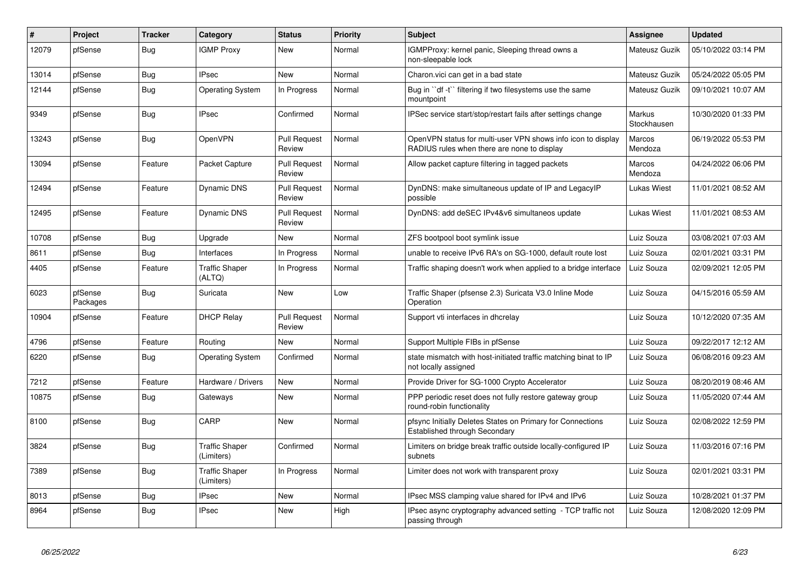| #     | Project             | <b>Tracker</b> | Category                            | <b>Status</b>                 | Priority | <b>Subject</b>                                                                                              | <b>Assignee</b>       | <b>Updated</b>      |
|-------|---------------------|----------------|-------------------------------------|-------------------------------|----------|-------------------------------------------------------------------------------------------------------------|-----------------------|---------------------|
| 12079 | pfSense             | Bug            | <b>IGMP Proxy</b>                   | New                           | Normal   | IGMPProxy: kernel panic, Sleeping thread owns a<br>non-sleepable lock                                       | Mateusz Guzik         | 05/10/2022 03:14 PM |
| 13014 | pfSense             | <b>Bug</b>     | <b>IPsec</b>                        | <b>New</b>                    | Normal   | Charon.vici can get in a bad state                                                                          | Mateusz Guzik         | 05/24/2022 05:05 PM |
| 12144 | pfSense             | <b>Bug</b>     | <b>Operating System</b>             | In Progress                   | Normal   | Bug in "df -t" filtering if two filesystems use the same<br>mountpoint                                      | Mateusz Guzik         | 09/10/2021 10:07 AM |
| 9349  | pfSense             | Bug            | <b>IPsec</b>                        | Confirmed                     | Normal   | IPSec service start/stop/restart fails after settings change                                                | Markus<br>Stockhausen | 10/30/2020 01:33 PM |
| 13243 | pfSense             | <b>Bug</b>     | OpenVPN                             | <b>Pull Request</b><br>Review | Normal   | OpenVPN status for multi-user VPN shows info icon to display<br>RADIUS rules when there are none to display | Marcos<br>Mendoza     | 06/19/2022 05:53 PM |
| 13094 | pfSense             | Feature        | Packet Capture                      | <b>Pull Request</b><br>Review | Normal   | Allow packet capture filtering in tagged packets                                                            | Marcos<br>Mendoza     | 04/24/2022 06:06 PM |
| 12494 | pfSense             | Feature        | Dynamic DNS                         | <b>Pull Request</b><br>Review | Normal   | DynDNS: make simultaneous update of IP and LegacyIP<br>possible                                             | Lukas Wiest           | 11/01/2021 08:52 AM |
| 12495 | pfSense             | Feature        | Dynamic DNS                         | <b>Pull Request</b><br>Review | Normal   | DynDNS: add deSEC IPv4&v6 simultaneos update                                                                | Lukas Wiest           | 11/01/2021 08:53 AM |
| 10708 | pfSense             | <b>Bug</b>     | Upgrade                             | <b>New</b>                    | Normal   | ZFS bootpool boot symlink issue                                                                             | Luiz Souza            | 03/08/2021 07:03 AM |
| 8611  | pfSense             | <b>Bug</b>     | Interfaces                          | In Progress                   | Normal   | unable to receive IPv6 RA's on SG-1000, default route lost                                                  | Luiz Souza            | 02/01/2021 03:31 PM |
| 4405  | pfSense             | Feature        | <b>Traffic Shaper</b><br>(ALTQ)     | In Progress                   | Normal   | Traffic shaping doesn't work when applied to a bridge interface                                             | Luiz Souza            | 02/09/2021 12:05 PM |
| 6023  | pfSense<br>Packages | <b>Bug</b>     | Suricata                            | New                           | Low      | Traffic Shaper (pfsense 2.3) Suricata V3.0 Inline Mode<br>Operation                                         | Luiz Souza            | 04/15/2016 05:59 AM |
| 10904 | pfSense             | Feature        | <b>DHCP Relay</b>                   | <b>Pull Request</b><br>Review | Normal   | Support vti interfaces in dhcrelay                                                                          | Luiz Souza            | 10/12/2020 07:35 AM |
| 4796  | pfSense             | Feature        | Routina                             | <b>New</b>                    | Normal   | Support Multiple FIBs in pfSense                                                                            | Luiz Souza            | 09/22/2017 12:12 AM |
| 6220  | pfSense             | Bug            | <b>Operating System</b>             | Confirmed                     | Normal   | state mismatch with host-initiated traffic matching binat to IP<br>not locally assigned                     | Luiz Souza            | 06/08/2016 09:23 AM |
| 7212  | pfSense             | Feature        | Hardware / Drivers                  | <b>New</b>                    | Normal   | Provide Driver for SG-1000 Crypto Accelerator                                                               | Luiz Souza            | 08/20/2019 08:46 AM |
| 10875 | pfSense             | <b>Bug</b>     | Gateways                            | <b>New</b>                    | Normal   | PPP periodic reset does not fully restore gateway group<br>round-robin functionality                        | Luiz Souza            | 11/05/2020 07:44 AM |
| 8100  | pfSense             | <b>Bug</b>     | CARP                                | New                           | Normal   | pfsync Initially Deletes States on Primary for Connections<br>Established through Secondary                 | Luiz Souza            | 02/08/2022 12:59 PM |
| 3824  | pfSense             | <b>Bug</b>     | <b>Traffic Shaper</b><br>(Limiters) | Confirmed                     | Normal   | Limiters on bridge break traffic outside locally-configured IP<br>subnets                                   | Luiz Souza            | 11/03/2016 07:16 PM |
| 7389  | pfSense             | <b>Bug</b>     | <b>Traffic Shaper</b><br>(Limiters) | In Progress                   | Normal   | Limiter does not work with transparent proxy                                                                | Luiz Souza            | 02/01/2021 03:31 PM |
| 8013  | pfSense             | <b>Bug</b>     | <b>IPsec</b>                        | <b>New</b>                    | Normal   | IPsec MSS clamping value shared for IPv4 and IPv6                                                           | Luiz Souza            | 10/28/2021 01:37 PM |
| 8964  | pfSense             | Bug            | <b>IPsec</b>                        | <b>New</b>                    | High     | IPsec async cryptography advanced setting - TCP traffic not<br>passing through                              | Luiz Souza            | 12/08/2020 12:09 PM |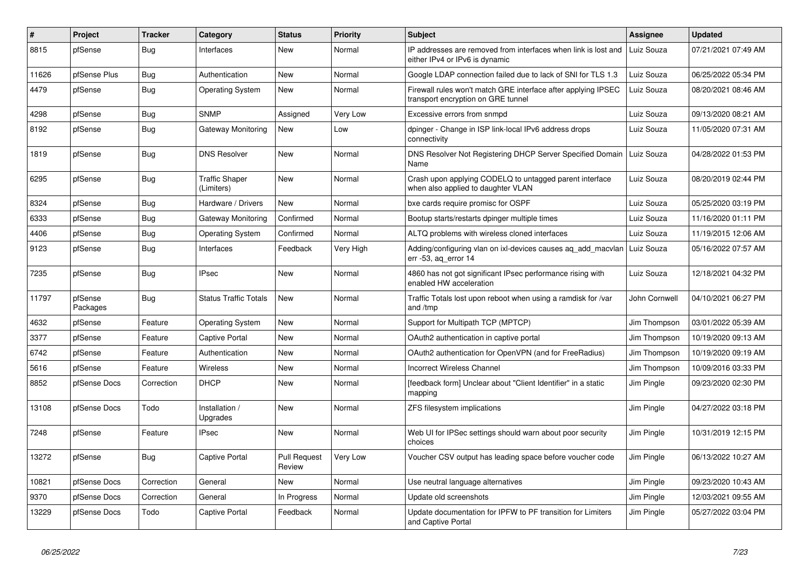| #     | Project             | <b>Tracker</b> | Category                     | <b>Status</b>                 | <b>Priority</b> | <b>Subject</b>                                                                                      | <b>Assignee</b> | <b>Updated</b>      |
|-------|---------------------|----------------|------------------------------|-------------------------------|-----------------|-----------------------------------------------------------------------------------------------------|-----------------|---------------------|
| 8815  | pfSense             | Bug            | Interfaces                   | New                           | Normal          | IP addresses are removed from interfaces when link is lost and<br>either IPv4 or IPv6 is dynamic    | Luiz Souza      | 07/21/2021 07:49 AM |
| 11626 | pfSense Plus        | <b>Bug</b>     | Authentication               | New                           | Normal          | Google LDAP connection failed due to lack of SNI for TLS 1.3                                        | Luiz Souza      | 06/25/2022 05:34 PM |
| 4479  | pfSense             | <b>Bug</b>     | <b>Operating System</b>      | New                           | Normal          | Firewall rules won't match GRE interface after applying IPSEC<br>transport encryption on GRE tunnel | Luiz Souza      | 08/20/2021 08:46 AM |
| 4298  | pfSense             | Bug            | <b>SNMP</b>                  | Assigned                      | Very Low        | Excessive errors from snmpd                                                                         | Luiz Souza      | 09/13/2020 08:21 AM |
| 8192  | pfSense             | Bug            | Gateway Monitoring           | New                           | Low             | dpinger - Change in ISP link-local IPv6 address drops<br>connectivity                               | Luiz Souza      | 11/05/2020 07:31 AM |
| 1819  | pfSense             | <b>Bug</b>     | <b>DNS Resolver</b>          | <b>New</b>                    | Normal          | DNS Resolver Not Registering DHCP Server Specified Domain<br>Name                                   | Luiz Souza      | 04/28/2022 01:53 PM |
| 6295  | pfSense             | Bug            | Traffic Shaper<br>(Limiters) | New                           | Normal          | Crash upon applying CODELQ to untagged parent interface<br>when also applied to daughter VLAN       | Luiz Souza      | 08/20/2019 02:44 PM |
| 8324  | pfSense             | <b>Bug</b>     | Hardware / Drivers           | New                           | Normal          | bxe cards require promisc for OSPF                                                                  | Luiz Souza      | 05/25/2020 03:19 PM |
| 6333  | pfSense             | <b>Bug</b>     | Gateway Monitoring           | Confirmed                     | Normal          | Bootup starts/restarts dpinger multiple times                                                       | Luiz Souza      | 11/16/2020 01:11 PM |
| 4406  | pfSense             | <b>Bug</b>     | <b>Operating System</b>      | Confirmed                     | Normal          | ALTQ problems with wireless cloned interfaces                                                       | Luiz Souza      | 11/19/2015 12:06 AM |
| 9123  | pfSense             | Bug            | Interfaces                   | Feedback                      | Very High       | Adding/configuring vlan on ixl-devices causes aq_add_macvlan<br>err $-53$ , ag error $14$           | Luiz Souza      | 05/16/2022 07:57 AM |
| 7235  | pfSense             | <b>Bug</b>     | <b>IPsec</b>                 | <b>New</b>                    | Normal          | 4860 has not got significant IPsec performance rising with<br>enabled HW acceleration               | Luiz Souza      | 12/18/2021 04:32 PM |
| 11797 | pfSense<br>Packages | <b>Bug</b>     | <b>Status Traffic Totals</b> | <b>New</b>                    | Normal          | Traffic Totals lost upon reboot when using a ramdisk for /var<br>and /tmp                           | John Cornwell   | 04/10/2021 06:27 PM |
| 4632  | pfSense             | Feature        | Operating System             | New                           | Normal          | Support for Multipath TCP (MPTCP)                                                                   | Jim Thompson    | 03/01/2022 05:39 AM |
| 3377  | pfSense             | Feature        | Captive Portal               | <b>New</b>                    | Normal          | OAuth2 authentication in captive portal                                                             | Jim Thompson    | 10/19/2020 09:13 AM |
| 6742  | pfSense             | Feature        | Authentication               | <b>New</b>                    | Normal          | OAuth2 authentication for OpenVPN (and for FreeRadius)                                              | Jim Thompson    | 10/19/2020 09:19 AM |
| 5616  | pfSense             | Feature        | <b>Wireless</b>              | <b>New</b>                    | Normal          | <b>Incorrect Wireless Channel</b>                                                                   | Jim Thompson    | 10/09/2016 03:33 PM |
| 8852  | pfSense Docs        | Correction     | DHCP                         | New                           | Normal          | [feedback form] Unclear about "Client Identifier" in a static<br>mapping                            | Jim Pingle      | 09/23/2020 02:30 PM |
| 13108 | pfSense Docs        | Todo           | Installation /<br>Upgrades   | <b>New</b>                    | Normal          | ZFS filesystem implications                                                                         | Jim Pingle      | 04/27/2022 03:18 PM |
| 7248  | pfSense             | Feature        | <b>IPsec</b>                 | <b>New</b>                    | Normal          | Web UI for IPSec settings should warn about poor security<br>choices                                | Jim Pingle      | 10/31/2019 12:15 PM |
| 13272 | pfSense             | Bug            | Captive Portal               | <b>Pull Request</b><br>Review | Very Low        | Voucher CSV output has leading space before voucher code                                            | Jim Pingle      | 06/13/2022 10:27 AM |
| 10821 | pfSense Docs        | Correction     | General                      | <b>New</b>                    | Normal          | Use neutral language alternatives                                                                   | Jim Pingle      | 09/23/2020 10:43 AM |
| 9370  | pfSense Docs        | Correction     | General                      | In Progress                   | Normal          | Update old screenshots                                                                              | Jim Pingle      | 12/03/2021 09:55 AM |
| 13229 | pfSense Docs        | Todo           | Captive Portal               | Feedback                      | Normal          | Update documentation for IPFW to PF transition for Limiters<br>and Captive Portal                   | Jim Pingle      | 05/27/2022 03:04 PM |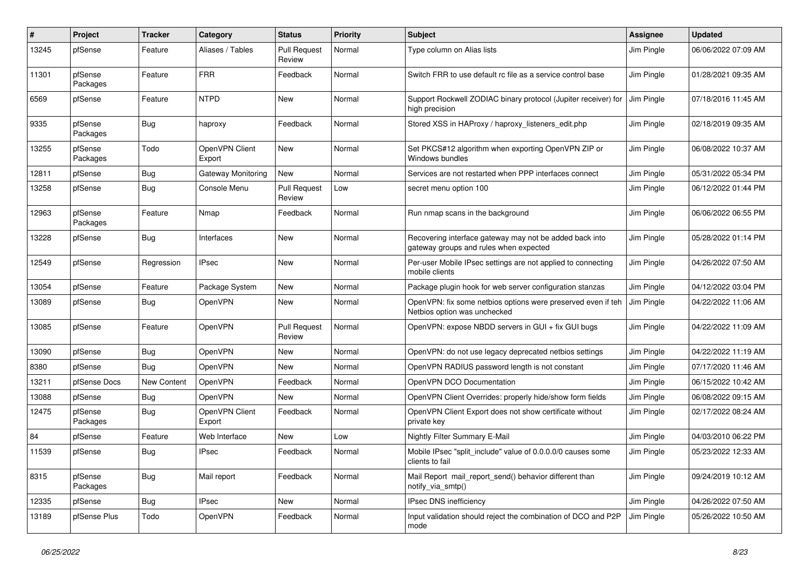| #     | Project             | <b>Tracker</b>     | Category                 | <b>Status</b>                 | <b>Priority</b> | <b>Subject</b>                                                                                    | <b>Assignee</b> | <b>Updated</b>      |
|-------|---------------------|--------------------|--------------------------|-------------------------------|-----------------|---------------------------------------------------------------------------------------------------|-----------------|---------------------|
| 13245 | pfSense             | Feature            | Aliases / Tables         | <b>Pull Request</b><br>Review | Normal          | Type column on Alias lists                                                                        | Jim Pingle      | 06/06/2022 07:09 AM |
| 11301 | pfSense<br>Packages | Feature            | <b>FRR</b>               | Feedback                      | Normal          | Switch FRR to use default rc file as a service control base                                       | Jim Pingle      | 01/28/2021 09:35 AM |
| 6569  | pfSense             | Feature            | <b>NTPD</b>              | <b>New</b>                    | Normal          | Support Rockwell ZODIAC binary protocol (Jupiter receiver) for<br>high precision                  | Jim Pingle      | 07/18/2016 11:45 AM |
| 9335  | pfSense<br>Packages | Bug                | haproxy                  | Feedback                      | Normal          | Stored XSS in HAProxy / haproxy_listeners_edit.php                                                | Jim Pingle      | 02/18/2019 09:35 AM |
| 13255 | pfSense<br>Packages | Todo               | OpenVPN Client<br>Export | <b>New</b>                    | Normal          | Set PKCS#12 algorithm when exporting OpenVPN ZIP or<br>Windows bundles                            | Jim Pingle      | 06/08/2022 10:37 AM |
| 12811 | pfSense             | Bug                | Gateway Monitoring       | <b>New</b>                    | Normal          | Services are not restarted when PPP interfaces connect                                            | Jim Pingle      | 05/31/2022 05:34 PM |
| 13258 | pfSense             | Bug                | Console Menu             | <b>Pull Request</b><br>Review | Low             | secret menu option 100                                                                            | Jim Pingle      | 06/12/2022 01:44 PM |
| 12963 | pfSense<br>Packages | Feature            | Nmap                     | Feedback                      | Normal          | Run nmap scans in the background                                                                  | Jim Pingle      | 06/06/2022 06:55 PM |
| 13228 | pfSense             | <b>Bug</b>         | Interfaces               | <b>New</b>                    | Normal          | Recovering interface gateway may not be added back into<br>gateway groups and rules when expected | Jim Pingle      | 05/28/2022 01:14 PM |
| 12549 | pfSense             | Regression         | <b>IPsec</b>             | New                           | Normal          | Per-user Mobile IPsec settings are not applied to connecting<br>mobile clients                    | Jim Pingle      | 04/26/2022 07:50 AM |
| 13054 | pfSense             | Feature            | Package System           | New                           | Normal          | Package plugin hook for web server configuration stanzas                                          | Jim Pingle      | 04/12/2022 03:04 PM |
| 13089 | pfSense             | Bug                | OpenVPN                  | <b>New</b>                    | Normal          | OpenVPN: fix some netbios options were preserved even if teh<br>Netbios option was unchecked      | Jim Pingle      | 04/22/2022 11:06 AM |
| 13085 | pfSense             | Feature            | OpenVPN                  | <b>Pull Request</b><br>Review | Normal          | OpenVPN: expose NBDD servers in GUI + fix GUI bugs                                                | Jim Pingle      | 04/22/2022 11:09 AM |
| 13090 | pfSense             | Bug                | OpenVPN                  | New                           | Normal          | OpenVPN: do not use legacy deprecated netbios settings                                            | Jim Pingle      | 04/22/2022 11:19 AM |
| 8380  | pfSense             | Bug                | OpenVPN                  | New                           | Normal          | OpenVPN RADIUS password length is not constant                                                    | Jim Pingle      | 07/17/2020 11:46 AM |
| 13211 | pfSense Docs        | <b>New Content</b> | OpenVPN                  | Feedback                      | Normal          | OpenVPN DCO Documentation                                                                         | Jim Pingle      | 06/15/2022 10:42 AM |
| 13088 | pfSense             | Bug                | OpenVPN                  | New                           | Normal          | OpenVPN Client Overrides: properly hide/show form fields                                          | Jim Pingle      | 06/08/2022 09:15 AM |
| 12475 | pfSense<br>Packages | <b>Bug</b>         | OpenVPN Client<br>Export | Feedback                      | Normal          | OpenVPN Client Export does not show certificate without<br>private key                            | Jim Pingle      | 02/17/2022 08:24 AM |
| 84    | pfSense             | Feature            | Web Interface            | <b>New</b>                    | Low             | Nightly Filter Summary E-Mail                                                                     | Jim Pingle      | 04/03/2010 06:22 PM |
| 11539 | pfSense             | Bug                | <b>IPsec</b>             | Feedback                      | Normal          | Mobile IPsec "split_include" value of 0.0.0.0/0 causes some<br>clients to fail                    | Jim Pingle      | 05/23/2022 12:33 AM |
| 8315  | pfSense<br>Packages | <b>Bug</b>         | Mail report              | Feedback                      | Normal          | Mail Report mail_report_send() behavior different than<br>notify_via_smtp()                       | Jim Pingle      | 09/24/2019 10:12 AM |
| 12335 | pfSense             | <b>Bug</b>         | <b>IPsec</b>             | New                           | Normal          | IPsec DNS inefficiency                                                                            | Jim Pingle      | 04/26/2022 07:50 AM |
| 13189 | pfSense Plus        | Todo               | OpenVPN                  | Feedback                      | Normal          | Input validation should reject the combination of DCO and P2P<br>mode                             | Jim Pingle      | 05/26/2022 10:50 AM |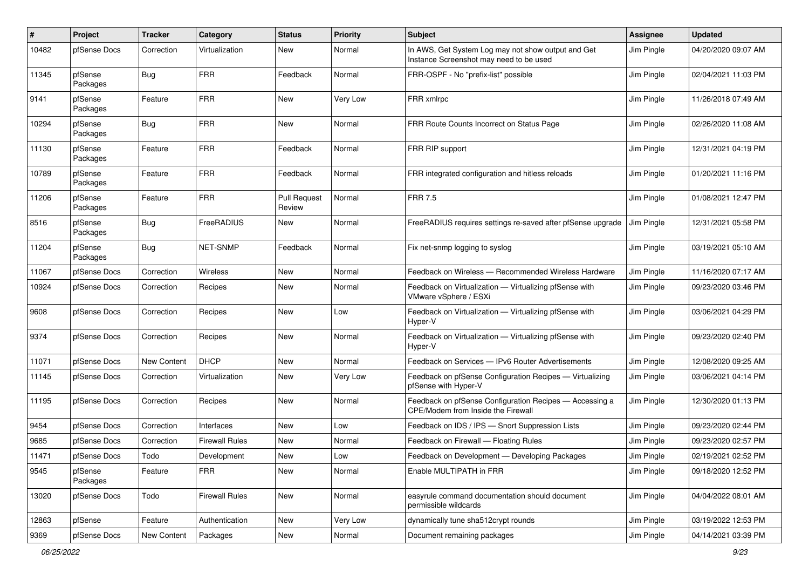| $\pmb{\#}$ | Project             | <b>Tracker</b>     | Category              | <b>Status</b>                 | <b>Priority</b> | <b>Subject</b>                                                                                | <b>Assignee</b> | <b>Updated</b>      |
|------------|---------------------|--------------------|-----------------------|-------------------------------|-----------------|-----------------------------------------------------------------------------------------------|-----------------|---------------------|
| 10482      | pfSense Docs        | Correction         | Virtualization        | <b>New</b>                    | Normal          | In AWS, Get System Log may not show output and Get<br>Instance Screenshot may need to be used | Jim Pingle      | 04/20/2020 09:07 AM |
| 11345      | pfSense<br>Packages | Bug                | <b>FRR</b>            | Feedback                      | Normal          | FRR-OSPF - No "prefix-list" possible                                                          | Jim Pingle      | 02/04/2021 11:03 PM |
| 9141       | pfSense<br>Packages | Feature            | <b>FRR</b>            | New                           | Very Low        | FRR xmlrpc                                                                                    | Jim Pingle      | 11/26/2018 07:49 AM |
| 10294      | pfSense<br>Packages | Bug                | <b>FRR</b>            | New                           | Normal          | FRR Route Counts Incorrect on Status Page                                                     | Jim Pingle      | 02/26/2020 11:08 AM |
| 11130      | pfSense<br>Packages | Feature            | <b>FRR</b>            | Feedback                      | Normal          | FRR RIP support                                                                               | Jim Pingle      | 12/31/2021 04:19 PM |
| 10789      | pfSense<br>Packages | Feature            | <b>FRR</b>            | Feedback                      | Normal          | FRR integrated configuration and hitless reloads                                              | Jim Pingle      | 01/20/2021 11:16 PM |
| 11206      | pfSense<br>Packages | Feature            | <b>FRR</b>            | <b>Pull Request</b><br>Review | Normal          | <b>FRR 7.5</b>                                                                                | Jim Pingle      | 01/08/2021 12:47 PM |
| 8516       | pfSense<br>Packages | Bug                | FreeRADIUS            | New                           | Normal          | FreeRADIUS requires settings re-saved after pfSense upgrade                                   | Jim Pingle      | 12/31/2021 05:58 PM |
| 11204      | pfSense<br>Packages | <b>Bug</b>         | <b>NET-SNMP</b>       | Feedback                      | Normal          | Fix net-snmp logging to syslog                                                                | Jim Pingle      | 03/19/2021 05:10 AM |
| 11067      | pfSense Docs        | Correction         | Wireless              | <b>New</b>                    | Normal          | Feedback on Wireless - Recommended Wireless Hardware                                          | Jim Pingle      | 11/16/2020 07:17 AM |
| 10924      | pfSense Docs        | Correction         | Recipes               | New                           | Normal          | Feedback on Virtualization - Virtualizing pfSense with<br>VMware vSphere / ESXi               | Jim Pingle      | 09/23/2020 03:46 PM |
| 9608       | pfSense Docs        | Correction         | Recipes               | New                           | Low             | Feedback on Virtualization - Virtualizing pfSense with<br>Hyper-V                             | Jim Pingle      | 03/06/2021 04:29 PM |
| 9374       | pfSense Docs        | Correction         | Recipes               | New                           | Normal          | Feedback on Virtualization - Virtualizing pfSense with<br>Hyper-V                             | Jim Pingle      | 09/23/2020 02:40 PM |
| 11071      | pfSense Docs        | <b>New Content</b> | <b>DHCP</b>           | New                           | Normal          | Feedback on Services - IPv6 Router Advertisements                                             | Jim Pingle      | 12/08/2020 09:25 AM |
| 11145      | pfSense Docs        | Correction         | Virtualization        | New                           | Very Low        | Feedback on pfSense Configuration Recipes - Virtualizing<br>pfSense with Hyper-V              | Jim Pingle      | 03/06/2021 04:14 PM |
| 11195      | pfSense Docs        | Correction         | Recipes               | New                           | Normal          | Feedback on pfSense Configuration Recipes - Accessing a<br>CPE/Modem from Inside the Firewall | Jim Pingle      | 12/30/2020 01:13 PM |
| 9454       | pfSense Docs        | Correction         | Interfaces            | New                           | Low             | Feedback on IDS / IPS - Snort Suppression Lists                                               | Jim Pingle      | 09/23/2020 02:44 PM |
| 9685       | pfSense Docs        | Correction         | Firewall Rules        | <b>New</b>                    | Normal          | Feedback on Firewall - Floating Rules                                                         | Jim Pingle      | 09/23/2020 02:57 PM |
| 11471      | pfSense Docs        | Todo               | Development           | New                           | Low             | Feedback on Development - Developing Packages                                                 | Jim Pingle      | 02/19/2021 02:52 PM |
| 9545       | pfSense<br>Packages | Feature            | <b>FRR</b>            | New                           | Normal          | Enable MULTIPATH in FRR                                                                       | Jim Pingle      | 09/18/2020 12:52 PM |
| 13020      | pfSense Docs        | Todo               | <b>Firewall Rules</b> | New                           | Normal          | easyrule command documentation should document<br>permissible wildcards                       | Jim Pingle      | 04/04/2022 08:01 AM |
| 12863      | pfSense             | Feature            | Authentication        | New                           | Very Low        | dynamically tune sha512crypt rounds                                                           | Jim Pingle      | 03/19/2022 12:53 PM |
| 9369       | pfSense Docs        | New Content        | Packages              | New                           | Normal          | Document remaining packages                                                                   | Jim Pingle      | 04/14/2021 03:39 PM |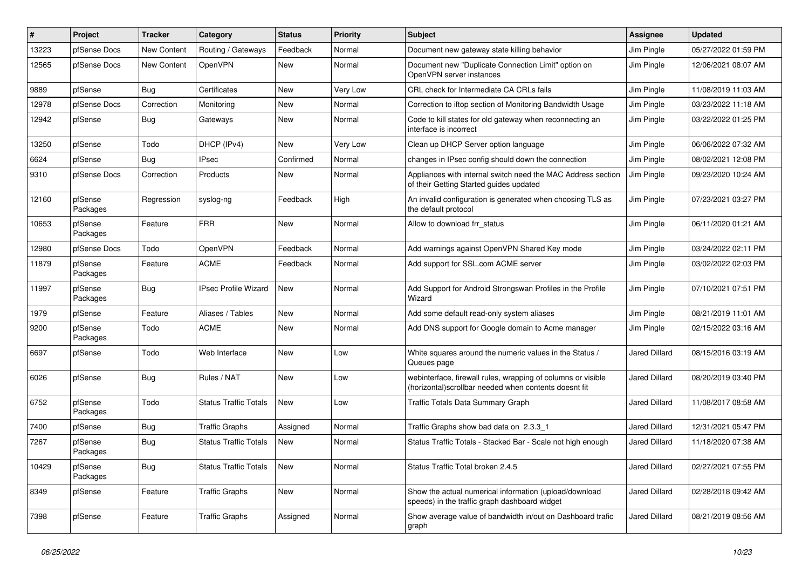| $\pmb{\#}$ | Project             | <b>Tracker</b>     | Category                     | <b>Status</b> | <b>Priority</b> | <b>Subject</b>                                                                                                         | Assignee             | <b>Updated</b>      |
|------------|---------------------|--------------------|------------------------------|---------------|-----------------|------------------------------------------------------------------------------------------------------------------------|----------------------|---------------------|
| 13223      | pfSense Docs        | <b>New Content</b> | Routing / Gateways           | Feedback      | Normal          | Document new gateway state killing behavior                                                                            | Jim Pingle           | 05/27/2022 01:59 PM |
| 12565      | pfSense Docs        | New Content        | OpenVPN                      | <b>New</b>    | Normal          | Document new "Duplicate Connection Limit" option on<br>OpenVPN server instances                                        | Jim Pingle           | 12/06/2021 08:07 AM |
| 9889       | pfSense             | <b>Bug</b>         | Certificates                 | <b>New</b>    | Very Low        | CRL check for Intermediate CA CRLs fails                                                                               | Jim Pingle           | 11/08/2019 11:03 AM |
| 12978      | pfSense Docs        | Correction         | Monitoring                   | <b>New</b>    | Normal          | Correction to iftop section of Monitoring Bandwidth Usage                                                              | Jim Pingle           | 03/23/2022 11:18 AM |
| 12942      | pfSense             | <b>Bug</b>         | Gateways                     | New           | Normal          | Code to kill states for old gateway when reconnecting an<br>interface is incorrect                                     | Jim Pingle           | 03/22/2022 01:25 PM |
| 13250      | pfSense             | Todo               | DHCP (IPv4)                  | <b>New</b>    | Very Low        | Clean up DHCP Server option language                                                                                   | Jim Pingle           | 06/06/2022 07:32 AM |
| 6624       | pfSense             | Bug                | <b>IPsec</b>                 | Confirmed     | Normal          | changes in IPsec config should down the connection                                                                     | Jim Pingle           | 08/02/2021 12:08 PM |
| 9310       | pfSense Docs        | Correction         | Products                     | New           | Normal          | Appliances with internal switch need the MAC Address section<br>of their Getting Started guides updated                | Jim Pingle           | 09/23/2020 10:24 AM |
| 12160      | pfSense<br>Packages | Regression         | syslog-ng                    | Feedback      | High            | An invalid configuration is generated when choosing TLS as<br>the default protocol                                     | Jim Pingle           | 07/23/2021 03:27 PM |
| 10653      | pfSense<br>Packages | Feature            | <b>FRR</b>                   | <b>New</b>    | Normal          | Allow to download frr status                                                                                           | Jim Pingle           | 06/11/2020 01:21 AM |
| 12980      | pfSense Docs        | Todo               | OpenVPN                      | Feedback      | Normal          | Add warnings against OpenVPN Shared Key mode                                                                           | Jim Pingle           | 03/24/2022 02:11 PM |
| 11879      | pfSense<br>Packages | Feature            | <b>ACME</b>                  | Feedback      | Normal          | Add support for SSL.com ACME server                                                                                    | Jim Pingle           | 03/02/2022 02:03 PM |
| 11997      | pfSense<br>Packages | <b>Bug</b>         | <b>IPsec Profile Wizard</b>  | <b>New</b>    | Normal          | Add Support for Android Strongswan Profiles in the Profile<br>Wizard                                                   | Jim Pingle           | 07/10/2021 07:51 PM |
| 1979       | pfSense             | Feature            | Aliases / Tables             | <b>New</b>    | Normal          | Add some default read-only system aliases                                                                              | Jim Pingle           | 08/21/2019 11:01 AM |
| 9200       | pfSense<br>Packages | Todo               | <b>ACME</b>                  | <b>New</b>    | Normal          | Add DNS support for Google domain to Acme manager                                                                      | Jim Pingle           | 02/15/2022 03:16 AM |
| 6697       | pfSense             | Todo               | Web Interface                | <b>New</b>    | Low             | White squares around the numeric values in the Status /<br>Queues page                                                 | <b>Jared Dillard</b> | 08/15/2016 03:19 AM |
| 6026       | pfSense             | Bug                | Rules / NAT                  | <b>New</b>    | Low             | webinterface, firewall rules, wrapping of columns or visible<br>(horizontal) scrollbar needed when contents doesnt fit | <b>Jared Dillard</b> | 08/20/2019 03:40 PM |
| 6752       | pfSense<br>Packages | Todo               | <b>Status Traffic Totals</b> | New           | Low             | <b>Traffic Totals Data Summary Graph</b>                                                                               | <b>Jared Dillard</b> | 11/08/2017 08:58 AM |
| 7400       | pfSense             | Bug                | <b>Traffic Graphs</b>        | Assigned      | Normal          | Traffic Graphs show bad data on 2.3.3 1                                                                                | <b>Jared Dillard</b> | 12/31/2021 05:47 PM |
| 7267       | pfSense<br>Packages | <b>Bug</b>         | <b>Status Traffic Totals</b> | <b>New</b>    | Normal          | Status Traffic Totals - Stacked Bar - Scale not high enough                                                            | <b>Jared Dillard</b> | 11/18/2020 07:38 AM |
| 10429      | pfSense<br>Packages | <b>Bug</b>         | <b>Status Traffic Totals</b> | New           | Normal          | Status Traffic Total broken 2.4.5                                                                                      | <b>Jared Dillard</b> | 02/27/2021 07:55 PM |
| 8349       | pfSense             | Feature            | <b>Traffic Graphs</b>        | New           | Normal          | Show the actual numerical information (upload/download<br>speeds) in the traffic graph dashboard widget                | Jared Dillard        | 02/28/2018 09:42 AM |
| 7398       | pfSense             | Feature            | <b>Traffic Graphs</b>        | Assigned      | Normal          | Show average value of bandwidth in/out on Dashboard trafic<br>graph                                                    | <b>Jared Dillard</b> | 08/21/2019 08:56 AM |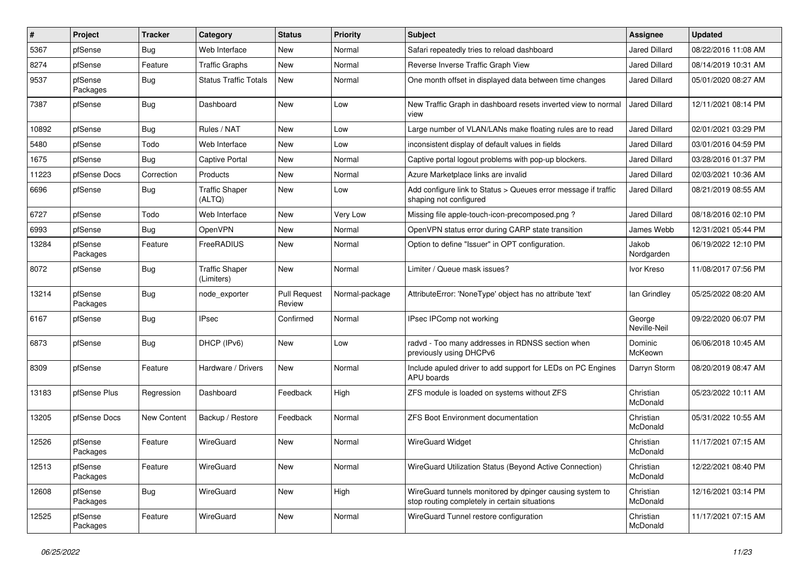| $\vert$ # | Project             | <b>Tracker</b> | Category                            | <b>Status</b>                 | <b>Priority</b> | <b>Subject</b>                                                                                            | <b>Assignee</b>        | <b>Updated</b>      |
|-----------|---------------------|----------------|-------------------------------------|-------------------------------|-----------------|-----------------------------------------------------------------------------------------------------------|------------------------|---------------------|
| 5367      | pfSense             | Bug            | Web Interface                       | New                           | Normal          | Safari repeatedly tries to reload dashboard                                                               | <b>Jared Dillard</b>   | 08/22/2016 11:08 AM |
| 8274      | pfSense             | Feature        | <b>Traffic Graphs</b>               | <b>New</b>                    | Normal          | Reverse Inverse Traffic Graph View                                                                        | <b>Jared Dillard</b>   | 08/14/2019 10:31 AM |
| 9537      | pfSense<br>Packages | Bug            | <b>Status Traffic Totals</b>        | New                           | Normal          | One month offset in displayed data between time changes                                                   | <b>Jared Dillard</b>   | 05/01/2020 08:27 AM |
| 7387      | pfSense             | <b>Bug</b>     | Dashboard                           | New                           | Low             | New Traffic Graph in dashboard resets inverted view to normal<br>view                                     | <b>Jared Dillard</b>   | 12/11/2021 08:14 PM |
| 10892     | pfSense             | Bug            | Rules / NAT                         | New                           | Low             | Large number of VLAN/LANs make floating rules are to read                                                 | Jared Dillard          | 02/01/2021 03:29 PM |
| 5480      | pfSense             | Todo           | Web Interface                       | <b>New</b>                    | Low             | inconsistent display of default values in fields                                                          | <b>Jared Dillard</b>   | 03/01/2016 04:59 PM |
| 1675      | pfSense             | Bug            | Captive Portal                      | New                           | Normal          | Captive portal logout problems with pop-up blockers.                                                      | <b>Jared Dillard</b>   | 03/28/2016 01:37 PM |
| 11223     | pfSense Docs        | Correction     | Products                            | <b>New</b>                    | Normal          | Azure Marketplace links are invalid                                                                       | <b>Jared Dillard</b>   | 02/03/2021 10:36 AM |
| 6696      | pfSense             | <b>Bug</b>     | <b>Traffic Shaper</b><br>(ALTQ)     | New                           | Low             | Add configure link to Status > Queues error message if traffic<br>shaping not configured                  | Jared Dillard          | 08/21/2019 08:55 AM |
| 6727      | pfSense             | Todo           | Web Interface                       | <b>New</b>                    | Very Low        | Missing file apple-touch-icon-precomposed.png?                                                            | <b>Jared Dillard</b>   | 08/18/2016 02:10 PM |
| 6993      | pfSense             | Bug            | OpenVPN                             | New                           | Normal          | OpenVPN status error during CARP state transition                                                         | James Webb             | 12/31/2021 05:44 PM |
| 13284     | pfSense<br>Packages | Feature        | FreeRADIUS                          | New                           | Normal          | Option to define "Issuer" in OPT configuration.                                                           | Jakob<br>Nordgarden    | 06/19/2022 12:10 PM |
| 8072      | pfSense             | Bug            | <b>Traffic Shaper</b><br>(Limiters) | New                           | Normal          | Limiter / Queue mask issues?                                                                              | Ivor Kreso             | 11/08/2017 07:56 PM |
| 13214     | pfSense<br>Packages | <b>Bug</b>     | node exporter                       | <b>Pull Request</b><br>Review | Normal-package  | AttributeError: 'NoneType' object has no attribute 'text'                                                 | lan Grindley           | 05/25/2022 08:20 AM |
| 6167      | pfSense             | <b>Bug</b>     | <b>IPsec</b>                        | Confirmed                     | Normal          | IPsec IPComp not working                                                                                  | George<br>Neville-Neil | 09/22/2020 06:07 PM |
| 6873      | pfSense             | Bug            | DHCP (IPv6)                         | New                           | Low             | radvd - Too many addresses in RDNSS section when<br>previously using DHCPv6                               | Dominic<br>McKeown     | 06/06/2018 10:45 AM |
| 8309      | pfSense             | Feature        | Hardware / Drivers                  | New                           | Normal          | Include apuled driver to add support for LEDs on PC Engines<br>APU boards                                 | Darryn Storm           | 08/20/2019 08:47 AM |
| 13183     | pfSense Plus        | Regression     | Dashboard                           | Feedback                      | High            | ZFS module is loaded on systems without ZFS                                                               | Christian<br>McDonald  | 05/23/2022 10:11 AM |
| 13205     | pfSense Docs        | New Content    | Backup / Restore                    | Feedback                      | Normal          | <b>ZFS Boot Environment documentation</b>                                                                 | Christian<br>McDonald  | 05/31/2022 10:55 AM |
| 12526     | pfSense<br>Packages | Feature        | WireGuard                           | <b>New</b>                    | Normal          | <b>WireGuard Widget</b>                                                                                   | Christian<br>McDonald  | 11/17/2021 07:15 AM |
| 12513     | pfSense<br>Packages | Feature        | WireGuard                           | New                           | Normal          | WireGuard Utilization Status (Beyond Active Connection)                                                   | Christian<br>McDonald  | 12/22/2021 08:40 PM |
| 12608     | pfSense<br>Packages | Bug            | WireGuard                           | New                           | High            | WireGuard tunnels monitored by dpinger causing system to<br>stop routing completely in certain situations | Christian<br>McDonald  | 12/16/2021 03:14 PM |
| 12525     | pfSense<br>Packages | Feature        | WireGuard                           | New                           | Normal          | WireGuard Tunnel restore configuration                                                                    | Christian<br>McDonald  | 11/17/2021 07:15 AM |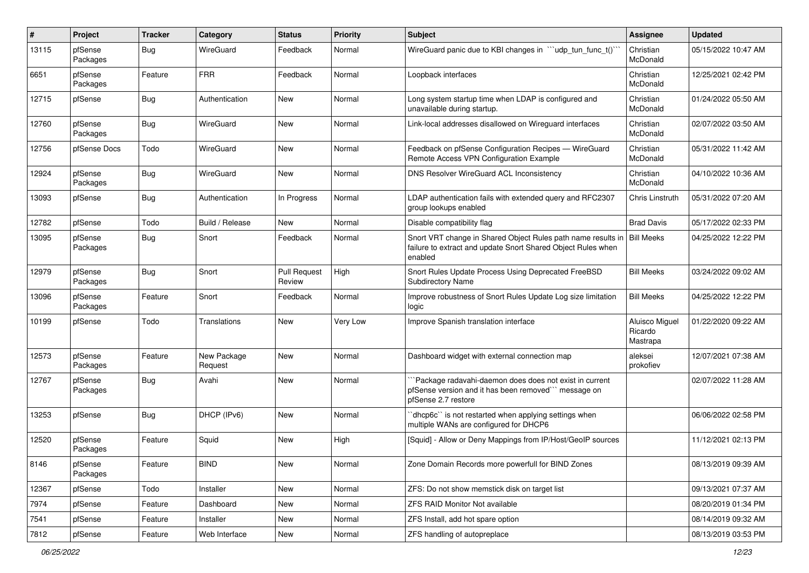| $\#$  | Project             | <b>Tracker</b> | Category               | <b>Status</b>                 | <b>Priority</b> | Subject                                                                                                                                 | <b>Assignee</b>                       | <b>Updated</b>      |
|-------|---------------------|----------------|------------------------|-------------------------------|-----------------|-----------------------------------------------------------------------------------------------------------------------------------------|---------------------------------------|---------------------|
| 13115 | pfSense<br>Packages | Bug            | WireGuard              | Feedback                      | Normal          | WireGuard panic due to KBI changes in ""udp_tun_func_t()"                                                                               | Christian<br>McDonald                 | 05/15/2022 10:47 AM |
| 6651  | pfSense<br>Packages | Feature        | <b>FRR</b>             | Feedback                      | Normal          | Loopback interfaces                                                                                                                     | Christian<br>McDonald                 | 12/25/2021 02:42 PM |
| 12715 | pfSense             | Bug            | Authentication         | <b>New</b>                    | Normal          | Long system startup time when LDAP is configured and<br>unavailable during startup.                                                     | Christian<br>McDonald                 | 01/24/2022 05:50 AM |
| 12760 | pfSense<br>Packages | Bug            | WireGuard              | New                           | Normal          | Link-local addresses disallowed on Wireguard interfaces                                                                                 | Christian<br>McDonald                 | 02/07/2022 03:50 AM |
| 12756 | pfSense Docs        | Todo           | WireGuard              | <b>New</b>                    | Normal          | Feedback on pfSense Configuration Recipes - WireGuard<br>Remote Access VPN Configuration Example                                        | Christian<br>McDonald                 | 05/31/2022 11:42 AM |
| 12924 | pfSense<br>Packages | Bug            | WireGuard              | New                           | Normal          | DNS Resolver WireGuard ACL Inconsistency                                                                                                | Christian<br>McDonald                 | 04/10/2022 10:36 AM |
| 13093 | pfSense             | Bug            | Authentication         | In Progress                   | Normal          | LDAP authentication fails with extended query and RFC2307<br>group lookups enabled                                                      | Chris Linstruth                       | 05/31/2022 07:20 AM |
| 12782 | pfSense             | Todo           | Build / Release        | New                           | Normal          | Disable compatibility flag                                                                                                              | <b>Brad Davis</b>                     | 05/17/2022 02:33 PM |
| 13095 | pfSense<br>Packages | Bug            | Snort                  | Feedback                      | Normal          | Snort VRT change in Shared Object Rules path name results in<br>failure to extract and update Snort Shared Object Rules when<br>enabled | <b>Bill Meeks</b>                     | 04/25/2022 12:22 PM |
| 12979 | pfSense<br>Packages | Bug            | Snort                  | <b>Pull Request</b><br>Review | High            | Snort Rules Update Process Using Deprecated FreeBSD<br><b>Subdirectory Name</b>                                                         | <b>Bill Meeks</b>                     | 03/24/2022 09:02 AM |
| 13096 | pfSense<br>Packages | Feature        | Snort                  | Feedback                      | Normal          | Improve robustness of Snort Rules Update Log size limitation<br>logic                                                                   | <b>Bill Meeks</b>                     | 04/25/2022 12:22 PM |
| 10199 | pfSense             | Todo           | Translations           | New                           | Very Low        | Improve Spanish translation interface                                                                                                   | Aluisco Miguel<br>Ricardo<br>Mastrapa | 01/22/2020 09:22 AM |
| 12573 | pfSense<br>Packages | Feature        | New Package<br>Request | <b>New</b>                    | Normal          | Dashboard widget with external connection map                                                                                           | aleksei<br>prokofiev                  | 12/07/2021 07:38 AM |
| 12767 | pfSense<br>Packages | <b>Bug</b>     | Avahi                  | <b>New</b>                    | Normal          | `Package radavahi-daemon does does not exist in current<br>pfSense version and it has been removed" message on<br>pfSense 2.7 restore   |                                       | 02/07/2022 11:28 AM |
| 13253 | pfSense             | <b>Bug</b>     | DHCP (IPv6)            | <b>New</b>                    | Normal          | dhcp6c" is not restarted when applying settings when<br>multiple WANs are configured for DHCP6                                          |                                       | 06/06/2022 02:58 PM |
| 12520 | pfSense<br>Packages | Feature        | Squid                  | <b>New</b>                    | High            | [Squid] - Allow or Deny Mappings from IP/Host/GeoIP sources                                                                             |                                       | 11/12/2021 02:13 PM |
| 8146  | pfSense<br>Packages | Feature        | <b>BIND</b>            | New                           | Normal          | Zone Domain Records more powerfull for BIND Zones                                                                                       |                                       | 08/13/2019 09:39 AM |
| 12367 | pfSense             | Todo           | Installer              | New                           | Normal          | ZFS: Do not show memstick disk on target list                                                                                           |                                       | 09/13/2021 07:37 AM |
| 7974  | pfSense             | Feature        | Dashboard              | New                           | Normal          | ZFS RAID Monitor Not available                                                                                                          |                                       | 08/20/2019 01:34 PM |
| 7541  | pfSense             | Feature        | Installer              | New                           | Normal          | ZFS Install, add hot spare option                                                                                                       |                                       | 08/14/2019 09:32 AM |
| 7812  | pfSense             | Feature        | Web Interface          | New                           | Normal          | ZFS handling of autopreplace                                                                                                            |                                       | 08/13/2019 03:53 PM |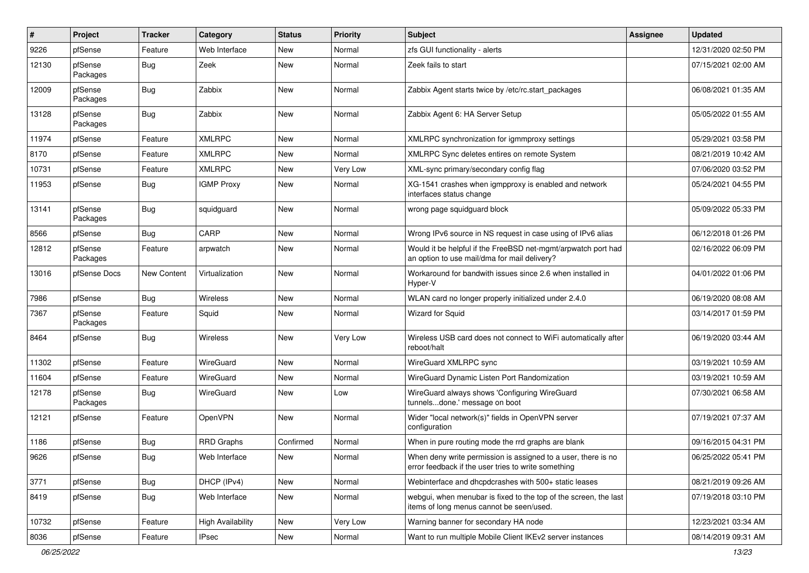| #     | Project             | <b>Tracker</b>     | Category                 | <b>Status</b> | <b>Priority</b> | <b>Subject</b>                                                                                                       | <b>Assignee</b> | <b>Updated</b>      |
|-------|---------------------|--------------------|--------------------------|---------------|-----------------|----------------------------------------------------------------------------------------------------------------------|-----------------|---------------------|
| 9226  | pfSense             | Feature            | Web Interface            | New           | Normal          | zfs GUI functionality - alerts                                                                                       |                 | 12/31/2020 02:50 PM |
| 12130 | pfSense<br>Packages | <b>Bug</b>         | Zeek                     | New           | Normal          | Zeek fails to start                                                                                                  |                 | 07/15/2021 02:00 AM |
| 12009 | pfSense<br>Packages | Bug                | Zabbix                   | New           | Normal          | Zabbix Agent starts twice by /etc/rc.start packages                                                                  |                 | 06/08/2021 01:35 AM |
| 13128 | pfSense<br>Packages | Bug                | Zabbix                   | New           | Normal          | Zabbix Agent 6: HA Server Setup                                                                                      |                 | 05/05/2022 01:55 AM |
| 11974 | pfSense             | Feature            | XMLRPC                   | <b>New</b>    | Normal          | XMLRPC synchronization for igmmproxy settings                                                                        |                 | 05/29/2021 03:58 PM |
| 8170  | pfSense             | Feature            | <b>XMLRPC</b>            | New           | Normal          | XMLRPC Sync deletes entires on remote System                                                                         |                 | 08/21/2019 10:42 AM |
| 10731 | pfSense             | Feature            | <b>XMLRPC</b>            | New           | Very Low        | XML-sync primary/secondary config flag                                                                               |                 | 07/06/2020 03:52 PM |
| 11953 | pfSense             | Bug                | <b>IGMP Proxy</b>        | New           | Normal          | XG-1541 crashes when igmpproxy is enabled and network<br>interfaces status change                                    |                 | 05/24/2021 04:55 PM |
| 13141 | pfSense<br>Packages | Bug                | squidguard               | New           | Normal          | wrong page squidguard block                                                                                          |                 | 05/09/2022 05:33 PM |
| 8566  | pfSense             | Bug                | CARP                     | New           | Normal          | Wrong IPv6 source in NS request in case using of IPv6 alias                                                          |                 | 06/12/2018 01:26 PM |
| 12812 | pfSense<br>Packages | Feature            | arpwatch                 | New           | Normal          | Would it be helpful if the FreeBSD net-mgmt/arpwatch port had<br>an option to use mail/dma for mail delivery?        |                 | 02/16/2022 06:09 PM |
| 13016 | pfSense Docs        | <b>New Content</b> | Virtualization           | New           | Normal          | Workaround for bandwith issues since 2.6 when installed in<br>Hyper-V                                                |                 | 04/01/2022 01:06 PM |
| 7986  | pfSense             | Bug                | Wireless                 | New           | Normal          | WLAN card no longer properly initialized under 2.4.0                                                                 |                 | 06/19/2020 08:08 AM |
| 7367  | pfSense<br>Packages | Feature            | Squid                    | New           | Normal          | Wizard for Squid                                                                                                     |                 | 03/14/2017 01:59 PM |
| 8464  | pfSense             | Bug                | Wireless                 | New           | Very Low        | Wireless USB card does not connect to WiFi automatically after<br>reboot/halt                                        |                 | 06/19/2020 03:44 AM |
| 11302 | pfSense             | Feature            | WireGuard                | New           | Normal          | WireGuard XMLRPC sync                                                                                                |                 | 03/19/2021 10:59 AM |
| 11604 | pfSense             | Feature            | WireGuard                | New           | Normal          | WireGuard Dynamic Listen Port Randomization                                                                          |                 | 03/19/2021 10:59 AM |
| 12178 | pfSense<br>Packages | Bug                | WireGuard                | New           | Low             | WireGuard always shows 'Configuring WireGuard<br>tunnelsdone.' message on boot                                       |                 | 07/30/2021 06:58 AM |
| 12121 | pfSense             | Feature            | OpenVPN                  | <b>New</b>    | Normal          | Wider "local network(s)" fields in OpenVPN server<br>configuration                                                   |                 | 07/19/2021 07:37 AM |
| 1186  | pfSense             | <b>Bug</b>         | <b>RRD Graphs</b>        | Confirmed     | Normal          | When in pure routing mode the rrd graphs are blank                                                                   |                 | 09/16/2015 04:31 PM |
| 9626  | pfSense             | <b>Bug</b>         | Web Interface            | New           | Normal          | When deny write permission is assigned to a user, there is no<br>error feedback if the user tries to write something |                 | 06/25/2022 05:41 PM |
| 3771  | pfSense             | <b>Bug</b>         | DHCP (IPv4)              | New           | Normal          | Webinterface and dhcpdcrashes with 500+ static leases                                                                |                 | 08/21/2019 09:26 AM |
| 8419  | pfSense             | <b>Bug</b>         | Web Interface            | New           | Normal          | webgui, when menubar is fixed to the top of the screen, the last<br>items of long menus cannot be seen/used.         |                 | 07/19/2018 03:10 PM |
| 10732 | pfSense             | Feature            | <b>High Availability</b> | New           | Very Low        | Warning banner for secondary HA node                                                                                 |                 | 12/23/2021 03:34 AM |
| 8036  | pfSense             | Feature            | <b>IPsec</b>             | New           | Normal          | Want to run multiple Mobile Client IKEv2 server instances                                                            |                 | 08/14/2019 09:31 AM |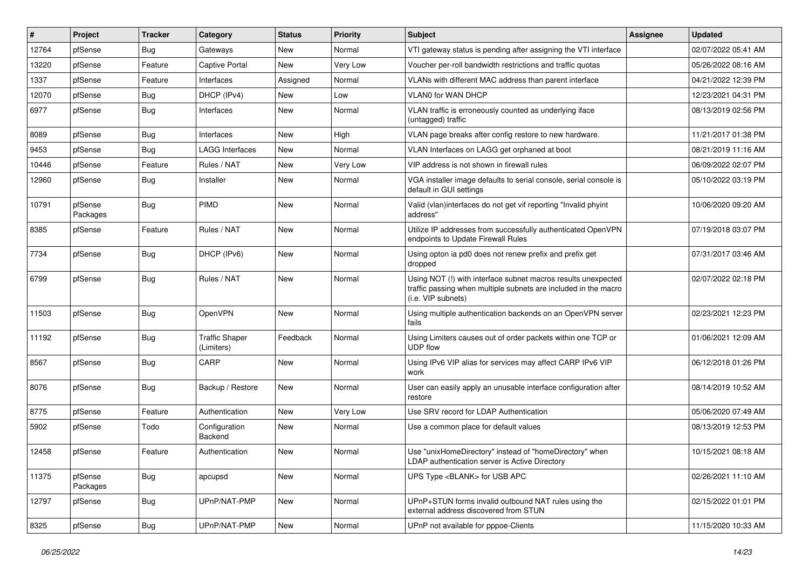| $\#$  | Project             | <b>Tracker</b> | Category                            | <b>Status</b> | <b>Priority</b> | Subject                                                                                                                                                | <b>Assignee</b> | <b>Updated</b>      |
|-------|---------------------|----------------|-------------------------------------|---------------|-----------------|--------------------------------------------------------------------------------------------------------------------------------------------------------|-----------------|---------------------|
| 12764 | pfSense             | Bug            | Gateways                            | New           | Normal          | VTI gateway status is pending after assigning the VTI interface                                                                                        |                 | 02/07/2022 05:41 AM |
| 13220 | pfSense             | Feature        | Captive Portal                      | <b>New</b>    | Very Low        | Voucher per-roll bandwidth restrictions and traffic quotas                                                                                             |                 | 05/26/2022 08:16 AM |
| 1337  | pfSense             | Feature        | Interfaces                          | Assigned      | Normal          | VLANs with different MAC address than parent interface                                                                                                 |                 | 04/21/2022 12:39 PM |
| 12070 | pfSense             | Bug            | DHCP (IPv4)                         | New           | Low             | VLAN0 for WAN DHCP                                                                                                                                     |                 | 12/23/2021 04:31 PM |
| 6977  | pfSense             | Bug            | Interfaces                          | New           | Normal          | VLAN traffic is erroneously counted as underlying iface<br>(untagged) traffic                                                                          |                 | 08/13/2019 02:56 PM |
| 8089  | pfSense             | Bug            | Interfaces                          | <b>New</b>    | High            | VLAN page breaks after config restore to new hardware.                                                                                                 |                 | 11/21/2017 01:38 PM |
| 9453  | pfSense             | Bug            | <b>LAGG Interfaces</b>              | New           | Normal          | VLAN Interfaces on LAGG get orphaned at boot                                                                                                           |                 | 08/21/2019 11:16 AM |
| 10446 | pfSense             | Feature        | Rules / NAT                         | New           | Very Low        | VIP address is not shown in firewall rules                                                                                                             |                 | 06/09/2022 02:07 PM |
| 12960 | pfSense             | <b>Bug</b>     | Installer                           | New           | Normal          | VGA installer image defaults to serial console, serial console is<br>default in GUI settings                                                           |                 | 05/10/2022 03:19 PM |
| 10791 | pfSense<br>Packages | <b>Bug</b>     | <b>PIMD</b>                         | New           | Normal          | Valid (vlan)interfaces do not get vif reporting "Invalid phyint<br>address"                                                                            |                 | 10/06/2020 09:20 AM |
| 8385  | pfSense             | Feature        | Rules / NAT                         | <b>New</b>    | Normal          | Utilize IP addresses from successfully authenticated OpenVPN<br>endpoints to Update Firewall Rules                                                     |                 | 07/19/2018 03:07 PM |
| 7734  | pfSense             | Bug            | DHCP (IPv6)                         | <b>New</b>    | Normal          | Using opton ia pd0 does not renew prefix and prefix get<br>dropped                                                                                     |                 | 07/31/2017 03:46 AM |
| 6799  | pfSense             | <b>Bug</b>     | Rules / NAT                         | <b>New</b>    | Normal          | Using NOT (!) with interface subnet macros results unexpected<br>traffic passing when multiple subnets are included in the macro<br>(i.e. VIP subnets) |                 | 02/07/2022 02:18 PM |
| 11503 | pfSense             | <b>Bug</b>     | OpenVPN                             | <b>New</b>    | Normal          | Using multiple authentication backends on an OpenVPN server<br>fails                                                                                   |                 | 02/23/2021 12:23 PM |
| 11192 | pfSense             | Bug            | <b>Traffic Shaper</b><br>(Limiters) | Feedback      | Normal          | Using Limiters causes out of order packets within one TCP or<br><b>UDP flow</b>                                                                        |                 | 01/06/2021 12:09 AM |
| 8567  | pfSense             | Bug            | CARP                                | <b>New</b>    | Normal          | Using IPv6 VIP alias for services may affect CARP IPv6 VIP<br>work                                                                                     |                 | 06/12/2018 01:26 PM |
| 8076  | pfSense             | <b>Bug</b>     | Backup / Restore                    | <b>New</b>    | Normal          | User can easily apply an unusable interface configuration after<br>restore                                                                             |                 | 08/14/2019 10:52 AM |
| 8775  | pfSense             | Feature        | Authentication                      | New           | Very Low        | Use SRV record for LDAP Authentication                                                                                                                 |                 | 05/06/2020 07:49 AM |
| 5902  | pfSense             | Todo           | Configuration<br>Backend            | <b>New</b>    | Normal          | Use a common place for default values                                                                                                                  |                 | 08/13/2019 12:53 PM |
| 12458 | pfSense             | Feature        | Authentication                      | <b>New</b>    | Normal          | Use "unixHomeDirectory" instead of "homeDirectory" when<br>LDAP authentication server is Active Directory                                              |                 | 10/15/2021 08:18 AM |
| 11375 | pfSense<br>Packages | <b>Bug</b>     | apcupsd                             | New           | Normal          | UPS Type <blank> for USB APC</blank>                                                                                                                   |                 | 02/26/2021 11:10 AM |
| 12797 | pfSense             | <b>Bug</b>     | UPnP/NAT-PMP                        | New           | Normal          | UPnP+STUN forms invalid outbound NAT rules using the<br>external address discovered from STUN                                                          |                 | 02/15/2022 01:01 PM |
| 8325  | pfSense             | <b>Bug</b>     | UPnP/NAT-PMP                        | New           | Normal          | UPnP not available for pppoe-Clients                                                                                                                   |                 | 11/15/2020 10:33 AM |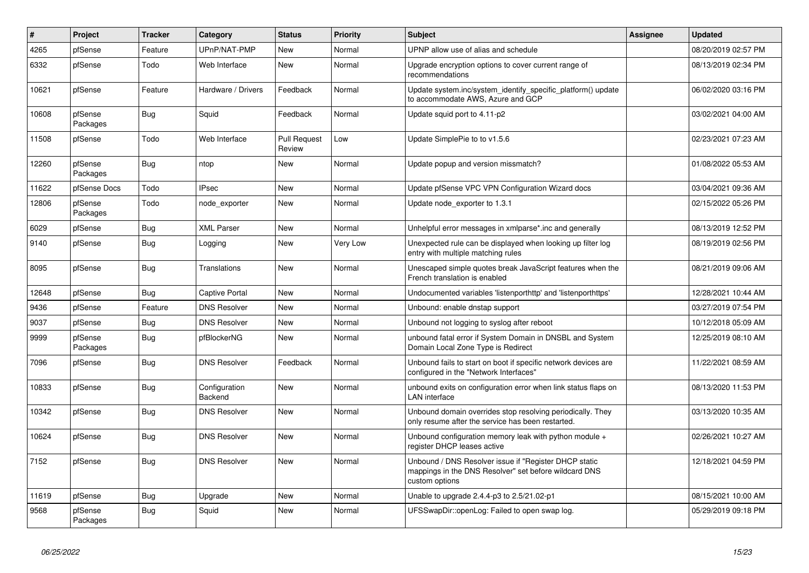| #     | Project             | <b>Tracker</b> | Category                 | <b>Status</b>                 | <b>Priority</b> | <b>Subject</b>                                                                                                                   | <b>Assignee</b> | <b>Updated</b>      |
|-------|---------------------|----------------|--------------------------|-------------------------------|-----------------|----------------------------------------------------------------------------------------------------------------------------------|-----------------|---------------------|
| 4265  | pfSense             | Feature        | UPnP/NAT-PMP             | <b>New</b>                    | Normal          | UPNP allow use of alias and schedule                                                                                             |                 | 08/20/2019 02:57 PM |
| 6332  | pfSense             | Todo           | Web Interface            | <b>New</b>                    | Normal          | Upgrade encryption options to cover current range of<br>recommendations                                                          |                 | 08/13/2019 02:34 PM |
| 10621 | pfSense             | Feature        | Hardware / Drivers       | Feedback                      | Normal          | Update system.inc/system identify specific platform() update<br>to accommodate AWS, Azure and GCP                                |                 | 06/02/2020 03:16 PM |
| 10608 | pfSense<br>Packages | <b>Bug</b>     | Squid                    | Feedback                      | Normal          | Update squid port to 4.11-p2                                                                                                     |                 | 03/02/2021 04:00 AM |
| 11508 | pfSense             | Todo           | Web Interface            | <b>Pull Request</b><br>Review | Low             | Update SimplePie to to v1.5.6                                                                                                    |                 | 02/23/2021 07:23 AM |
| 12260 | pfSense<br>Packages | <b>Bug</b>     | ntop                     | <b>New</b>                    | Normal          | Update popup and version missmatch?                                                                                              |                 | 01/08/2022 05:53 AM |
| 11622 | pfSense Docs        | Todo           | <b>IPsec</b>             | <b>New</b>                    | Normal          | Update pfSense VPC VPN Configuration Wizard docs                                                                                 |                 | 03/04/2021 09:36 AM |
| 12806 | pfSense<br>Packages | Todo           | node exporter            | <b>New</b>                    | Normal          | Update node exporter to 1.3.1                                                                                                    |                 | 02/15/2022 05:26 PM |
| 6029  | pfSense             | Bug            | <b>XML Parser</b>        | <b>New</b>                    | Normal          | Unhelpful error messages in xmlparse*.inc and generally                                                                          |                 | 08/13/2019 12:52 PM |
| 9140  | pfSense             | <b>Bug</b>     | Logging                  | <b>New</b>                    | Very Low        | Unexpected rule can be displayed when looking up filter log<br>entry with multiple matching rules                                |                 | 08/19/2019 02:56 PM |
| 8095  | pfSense             | <b>Bug</b>     | Translations             | <b>New</b>                    | Normal          | Unescaped simple quotes break JavaScript features when the<br>French translation is enabled                                      |                 | 08/21/2019 09:06 AM |
| 12648 | pfSense             | Bug            | <b>Captive Portal</b>    | <b>New</b>                    | Normal          | Undocumented variables 'listenporthttp' and 'listenporthttps'                                                                    |                 | 12/28/2021 10:44 AM |
| 9436  | pfSense             | Feature        | <b>DNS Resolver</b>      | <b>New</b>                    | Normal          | Unbound: enable dnstap support                                                                                                   |                 | 03/27/2019 07:54 PM |
| 9037  | pfSense             | Bug            | <b>DNS Resolver</b>      | <b>New</b>                    | Normal          | Unbound not logging to syslog after reboot                                                                                       |                 | 10/12/2018 05:09 AM |
| 9999  | pfSense<br>Packages | <b>Bug</b>     | pfBlockerNG              | <b>New</b>                    | Normal          | unbound fatal error if System Domain in DNSBL and System<br>Domain Local Zone Type is Redirect                                   |                 | 12/25/2019 08:10 AM |
| 7096  | pfSense             | <b>Bug</b>     | <b>DNS Resolver</b>      | Feedback                      | Normal          | Unbound fails to start on boot if specific network devices are<br>configured in the "Network Interfaces"                         |                 | 11/22/2021 08:59 AM |
| 10833 | pfSense             | Bug            | Configuration<br>Backend | <b>New</b>                    | Normal          | unbound exits on configuration error when link status flaps on<br><b>LAN</b> interface                                           |                 | 08/13/2020 11:53 PM |
| 10342 | pfSense             | Bug            | <b>DNS Resolver</b>      | <b>New</b>                    | Normal          | Unbound domain overrides stop resolving periodically. They<br>only resume after the service has been restarted.                  |                 | 03/13/2020 10:35 AM |
| 10624 | pfSense             | <b>Bug</b>     | <b>DNS Resolver</b>      | <b>New</b>                    | Normal          | Unbound configuration memory leak with python module +<br>register DHCP leases active                                            |                 | 02/26/2021 10:27 AM |
| 7152  | pfSense             | <b>Bug</b>     | <b>DNS Resolver</b>      | <b>New</b>                    | Normal          | Unbound / DNS Resolver issue if "Register DHCP static<br>mappings in the DNS Resolver" set before wildcard DNS<br>custom options |                 | 12/18/2021 04:59 PM |
| 11619 | pfSense             | Bug            | Upgrade                  | <b>New</b>                    | Normal          | Unable to upgrade 2.4.4-p3 to 2.5/21.02-p1                                                                                       |                 | 08/15/2021 10:00 AM |
| 9568  | pfSense<br>Packages | Bug            | Squid                    | <b>New</b>                    | Normal          | UFSSwapDir::openLog: Failed to open swap log.                                                                                    |                 | 05/29/2019 09:18 PM |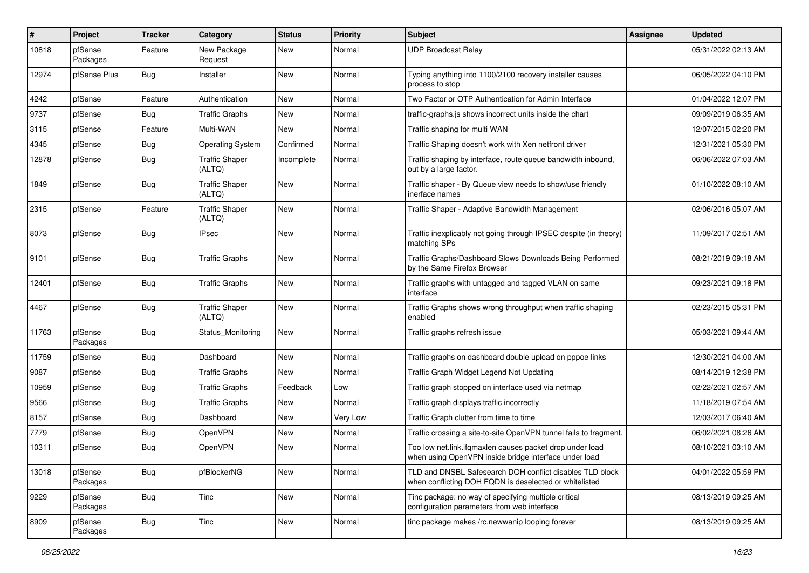| $\pmb{\#}$ | Project             | <b>Tracker</b> | Category                        | <b>Status</b> | <b>Priority</b> | <b>Subject</b>                                                                                                     | Assignee | <b>Updated</b>      |
|------------|---------------------|----------------|---------------------------------|---------------|-----------------|--------------------------------------------------------------------------------------------------------------------|----------|---------------------|
| 10818      | pfSense<br>Packages | Feature        | New Package<br>Request          | New           | Normal          | <b>UDP Broadcast Relay</b>                                                                                         |          | 05/31/2022 02:13 AM |
| 12974      | pfSense Plus        | Bug            | Installer                       | New           | Normal          | Typing anything into 1100/2100 recovery installer causes<br>process to stop                                        |          | 06/05/2022 04:10 PM |
| 4242       | pfSense             | Feature        | Authentication                  | <b>New</b>    | Normal          | Two Factor or OTP Authentication for Admin Interface                                                               |          | 01/04/2022 12:07 PM |
| 9737       | pfSense             | Bug            | <b>Traffic Graphs</b>           | New           | Normal          | traffic-graphs is shows incorrect units inside the chart                                                           |          | 09/09/2019 06:35 AM |
| 3115       | pfSense             | Feature        | Multi-WAN                       | <b>New</b>    | Normal          | Traffic shaping for multi WAN                                                                                      |          | 12/07/2015 02:20 PM |
| 4345       | pfSense             | <b>Bug</b>     | <b>Operating System</b>         | Confirmed     | Normal          | Traffic Shaping doesn't work with Xen netfront driver                                                              |          | 12/31/2021 05:30 PM |
| 12878      | pfSense             | Bug            | <b>Traffic Shaper</b><br>(ALTQ) | Incomplete    | Normal          | Traffic shaping by interface, route queue bandwidth inbound,<br>out by a large factor.                             |          | 06/06/2022 07:03 AM |
| 1849       | pfSense             | Bug            | <b>Traffic Shaper</b><br>(ALTQ) | New           | Normal          | Traffic shaper - By Queue view needs to show/use friendly<br>inerface names                                        |          | 01/10/2022 08:10 AM |
| 2315       | pfSense             | Feature        | <b>Traffic Shaper</b><br>(ALTQ) | <b>New</b>    | Normal          | Traffic Shaper - Adaptive Bandwidth Management                                                                     |          | 02/06/2016 05:07 AM |
| 8073       | pfSense             | Bug            | <b>IPsec</b>                    | New           | Normal          | Traffic inexplicably not going through IPSEC despite (in theory)<br>matching SPs                                   |          | 11/09/2017 02:51 AM |
| 9101       | pfSense             | Bug            | <b>Traffic Graphs</b>           | New           | Normal          | Traffic Graphs/Dashboard Slows Downloads Being Performed<br>by the Same Firefox Browser                            |          | 08/21/2019 09:18 AM |
| 12401      | pfSense             | Bug            | <b>Traffic Graphs</b>           | New           | Normal          | Traffic graphs with untagged and tagged VLAN on same<br>interface                                                  |          | 09/23/2021 09:18 PM |
| 4467       | pfSense             | Bug            | <b>Traffic Shaper</b><br>(ALTQ) | <b>New</b>    | Normal          | Traffic Graphs shows wrong throughput when traffic shaping<br>enabled                                              |          | 02/23/2015 05:31 PM |
| 11763      | pfSense<br>Packages | Bug            | Status Monitoring               | New           | Normal          | Traffic graphs refresh issue                                                                                       |          | 05/03/2021 09:44 AM |
| 11759      | pfSense             | Bug            | Dashboard                       | New           | Normal          | Traffic graphs on dashboard double upload on pppoe links                                                           |          | 12/30/2021 04:00 AM |
| 9087       | pfSense             | Bug            | <b>Traffic Graphs</b>           | New           | Normal          | Traffic Graph Widget Legend Not Updating                                                                           |          | 08/14/2019 12:38 PM |
| 10959      | pfSense             | Bug            | <b>Traffic Graphs</b>           | Feedback      | Low             | Traffic graph stopped on interface used via netmap                                                                 |          | 02/22/2021 02:57 AM |
| 9566       | pfSense             | Bug            | <b>Traffic Graphs</b>           | New           | Normal          | Traffic graph displays traffic incorrectly                                                                         |          | 11/18/2019 07:54 AM |
| 8157       | pfSense             | Bug            | Dashboard                       | <b>New</b>    | Very Low        | Traffic Graph clutter from time to time                                                                            |          | 12/03/2017 06:40 AM |
| 7779       | pfSense             | Bug            | OpenVPN                         | New           | Normal          | Traffic crossing a site-to-site OpenVPN tunnel fails to fragment.                                                  |          | 06/02/2021 08:26 AM |
| 10311      | pfSense             | Bug            | OpenVPN                         | New           | Normal          | Too low net.link.ifqmaxlen causes packet drop under load<br>when using OpenVPN inside bridge interface under load  |          | 08/10/2021 03:10 AM |
| 13018      | pfSense<br>Packages | <b>Bug</b>     | pfBlockerNG                     | New           | Normal          | TLD and DNSBL Safesearch DOH conflict disables TLD block<br>when conflicting DOH FQDN is deselected or whitelisted |          | 04/01/2022 05:59 PM |
| 9229       | pfSense<br>Packages | <b>Bug</b>     | Tinc                            | New           | Normal          | Tinc package: no way of specifying multiple critical<br>configuration parameters from web interface                |          | 08/13/2019 09:25 AM |
| 8909       | pfSense<br>Packages | <b>Bug</b>     | Tinc                            | New           | Normal          | tinc package makes /rc.newwanip looping forever                                                                    |          | 08/13/2019 09:25 AM |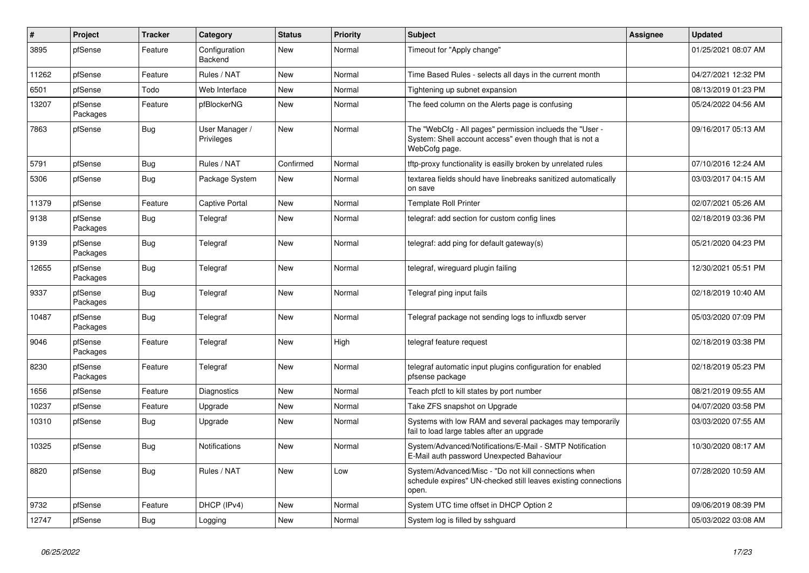| #     | Project             | <b>Tracker</b> | Category                     | <b>Status</b> | <b>Priority</b> | <b>Subject</b>                                                                                                                       | <b>Assignee</b> | <b>Updated</b>      |
|-------|---------------------|----------------|------------------------------|---------------|-----------------|--------------------------------------------------------------------------------------------------------------------------------------|-----------------|---------------------|
| 3895  | pfSense             | Feature        | Configuration<br>Backend     | <b>New</b>    | Normal          | Timeout for "Apply change"                                                                                                           |                 | 01/25/2021 08:07 AM |
| 11262 | pfSense             | Feature        | Rules / NAT                  | New           | Normal          | Time Based Rules - selects all days in the current month                                                                             |                 | 04/27/2021 12:32 PM |
| 6501  | pfSense             | Todo           | Web Interface                | <b>New</b>    | Normal          | Tightening up subnet expansion                                                                                                       |                 | 08/13/2019 01:23 PM |
| 13207 | pfSense<br>Packages | Feature        | pfBlockerNG                  | <b>New</b>    | Normal          | The feed column on the Alerts page is confusing                                                                                      |                 | 05/24/2022 04:56 AM |
| 7863  | pfSense             | <b>Bug</b>     | User Manager /<br>Privileges | <b>New</b>    | Normal          | The "WebCfg - All pages" permission inclueds the "User -<br>System: Shell account access" even though that is not a<br>WebCofg page. |                 | 09/16/2017 05:13 AM |
| 5791  | pfSense             | Bug            | Rules / NAT                  | Confirmed     | Normal          | tftp-proxy functionality is easilly broken by unrelated rules                                                                        |                 | 07/10/2016 12:24 AM |
| 5306  | pfSense             | Bug            | Package System               | <b>New</b>    | Normal          | textarea fields should have linebreaks sanitized automatically<br>on save                                                            |                 | 03/03/2017 04:15 AM |
| 11379 | pfSense             | Feature        | Captive Portal               | <b>New</b>    | Normal          | <b>Template Roll Printer</b>                                                                                                         |                 | 02/07/2021 05:26 AM |
| 9138  | pfSense<br>Packages | <b>Bug</b>     | Telegraf                     | <b>New</b>    | Normal          | telegraf: add section for custom config lines                                                                                        |                 | 02/18/2019 03:36 PM |
| 9139  | pfSense<br>Packages | Bug            | Telegraf                     | <b>New</b>    | Normal          | telegraf: add ping for default gateway(s)                                                                                            |                 | 05/21/2020 04:23 PM |
| 12655 | pfSense<br>Packages | Bug            | Telegraf                     | <b>New</b>    | Normal          | telegraf, wireguard plugin failing                                                                                                   |                 | 12/30/2021 05:51 PM |
| 9337  | pfSense<br>Packages | Bug            | Telegraf                     | <b>New</b>    | Normal          | Telegraf ping input fails                                                                                                            |                 | 02/18/2019 10:40 AM |
| 10487 | pfSense<br>Packages | <b>Bug</b>     | Telegraf                     | <b>New</b>    | Normal          | Telegraf package not sending logs to influxdb server                                                                                 |                 | 05/03/2020 07:09 PM |
| 9046  | pfSense<br>Packages | Feature        | Telegraf                     | <b>New</b>    | High            | telegraf feature request                                                                                                             |                 | 02/18/2019 03:38 PM |
| 8230  | pfSense<br>Packages | Feature        | Telegraf                     | <b>New</b>    | Normal          | telegraf automatic input plugins configuration for enabled<br>pfsense package                                                        |                 | 02/18/2019 05:23 PM |
| 1656  | pfSense             | Feature        | Diagnostics                  | <b>New</b>    | Normal          | Teach pfctl to kill states by port number                                                                                            |                 | 08/21/2019 09:55 AM |
| 10237 | pfSense             | Feature        | Upgrade                      | <b>New</b>    | Normal          | Take ZFS snapshot on Upgrade                                                                                                         |                 | 04/07/2020 03:58 PM |
| 10310 | pfSense             | <b>Bug</b>     | Upgrade                      | <b>New</b>    | Normal          | Systems with low RAM and several packages may temporarily<br>fail to load large tables after an upgrade                              |                 | 03/03/2020 07:55 AM |
| 10325 | pfSense             | <b>Bug</b>     | Notifications                | <b>New</b>    | Normal          | System/Advanced/Notifications/E-Mail - SMTP Notification<br>E-Mail auth password Unexpected Bahaviour                                |                 | 10/30/2020 08:17 AM |
| 8820  | pfSense             | Bug            | Rules / NAT                  | <b>New</b>    | Low             | System/Advanced/Misc - "Do not kill connections when<br>schedule expires" UN-checked still leaves existing connections<br>open.      |                 | 07/28/2020 10:59 AM |
| 9732  | pfSense             | Feature        | DHCP (IPv4)                  | <b>New</b>    | Normal          | System UTC time offset in DHCP Option 2                                                                                              |                 | 09/06/2019 08:39 PM |
| 12747 | pfSense             | <b>Bug</b>     | Logging                      | <b>New</b>    | Normal          | System log is filled by sshguard                                                                                                     |                 | 05/03/2022 03:08 AM |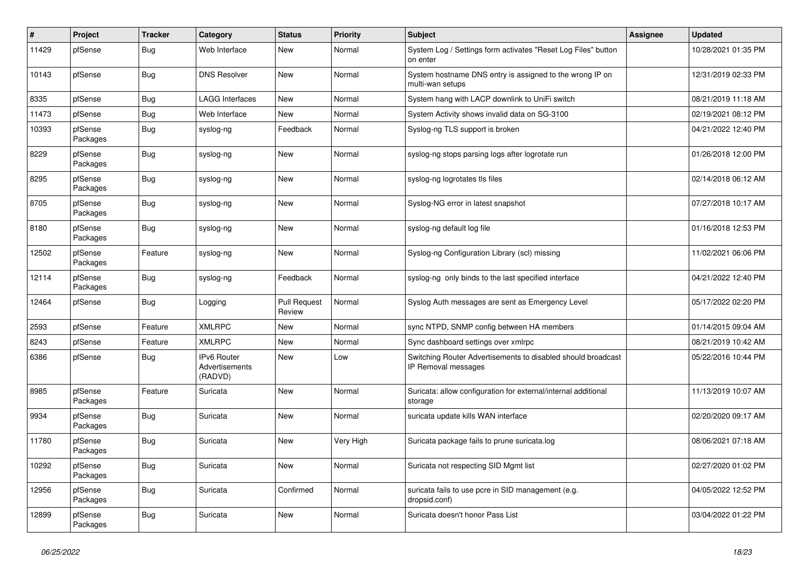| $\sharp$ | Project             | <b>Tracker</b> | Category                                 | <b>Status</b>                 | <b>Priority</b> | <b>Subject</b>                                                                      | <b>Assignee</b> | <b>Updated</b>      |
|----------|---------------------|----------------|------------------------------------------|-------------------------------|-----------------|-------------------------------------------------------------------------------------|-----------------|---------------------|
| 11429    | pfSense             | <b>Bug</b>     | Web Interface                            | New                           | Normal          | System Log / Settings form activates "Reset Log Files" button<br>on enter           |                 | 10/28/2021 01:35 PM |
| 10143    | pfSense             | Bug            | <b>DNS Resolver</b>                      | New                           | Normal          | System hostname DNS entry is assigned to the wrong IP on<br>multi-wan setups        |                 | 12/31/2019 02:33 PM |
| 8335     | pfSense             | Bug            | <b>LAGG Interfaces</b>                   | <b>New</b>                    | Normal          | System hang with LACP downlink to UniFi switch                                      |                 | 08/21/2019 11:18 AM |
| 11473    | pfSense             | Bug            | Web Interface                            | <b>New</b>                    | Normal          | System Activity shows invalid data on SG-3100                                       |                 | 02/19/2021 08:12 PM |
| 10393    | pfSense<br>Packages | <b>Bug</b>     | syslog-ng                                | Feedback                      | Normal          | Syslog-ng TLS support is broken                                                     |                 | 04/21/2022 12:40 PM |
| 8229     | pfSense<br>Packages | Bug            | syslog-ng                                | New                           | Normal          | syslog-ng stops parsing logs after logrotate run                                    |                 | 01/26/2018 12:00 PM |
| 8295     | pfSense<br>Packages | Bug            | syslog-ng                                | <b>New</b>                    | Normal          | syslog-ng logrotates tls files                                                      |                 | 02/14/2018 06:12 AM |
| 8705     | pfSense<br>Packages | <b>Bug</b>     | syslog-ng                                | <b>New</b>                    | Normal          | Syslog-NG error in latest snapshot                                                  |                 | 07/27/2018 10:17 AM |
| 8180     | pfSense<br>Packages | Bug            | syslog-ng                                | <b>New</b>                    | Normal          | syslog-ng default log file                                                          |                 | 01/16/2018 12:53 PM |
| 12502    | pfSense<br>Packages | Feature        | syslog-ng                                | <b>New</b>                    | Normal          | Syslog-ng Configuration Library (scl) missing                                       |                 | 11/02/2021 06:06 PM |
| 12114    | pfSense<br>Packages | <b>Bug</b>     | syslog-ng                                | Feedback                      | Normal          | syslog-ng only binds to the last specified interface                                |                 | 04/21/2022 12:40 PM |
| 12464    | pfSense             | <b>Bug</b>     | Logging                                  | <b>Pull Request</b><br>Review | Normal          | Syslog Auth messages are sent as Emergency Level                                    |                 | 05/17/2022 02:20 PM |
| 2593     | pfSense             | Feature        | <b>XMLRPC</b>                            | <b>New</b>                    | Normal          | sync NTPD, SNMP config between HA members                                           |                 | 01/14/2015 09:04 AM |
| 8243     | pfSense             | Feature        | <b>XMLRPC</b>                            | <b>New</b>                    | Normal          | Sync dashboard settings over xmlrpc                                                 |                 | 08/21/2019 10:42 AM |
| 6386     | pfSense             | <b>Bug</b>     | IPv6 Router<br>Advertisements<br>(RADVD) | <b>New</b>                    | Low             | Switching Router Advertisements to disabled should broadcast<br>IP Removal messages |                 | 05/22/2016 10:44 PM |
| 8985     | pfSense<br>Packages | Feature        | Suricata                                 | <b>New</b>                    | Normal          | Suricata: allow configuration for external/internal additional<br>storage           |                 | 11/13/2019 10:07 AM |
| 9934     | pfSense<br>Packages | <b>Bug</b>     | Suricata                                 | <b>New</b>                    | Normal          | suricata update kills WAN interface                                                 |                 | 02/20/2020 09:17 AM |
| 11780    | pfSense<br>Packages | <b>Bug</b>     | Suricata                                 | <b>New</b>                    | Very High       | Suricata package fails to prune suricata.log                                        |                 | 08/06/2021 07:18 AM |
| 10292    | pfSense<br>Packages | <b>Bug</b>     | Suricata                                 | New                           | Normal          | Suricata not respecting SID Mgmt list                                               |                 | 02/27/2020 01:02 PM |
| 12956    | pfSense<br>Packages | Bug            | Suricata                                 | Confirmed                     | Normal          | suricata fails to use pcre in SID management (e.g.<br>dropsid.conf)                 |                 | 04/05/2022 12:52 PM |
| 12899    | pfSense<br>Packages | Bug            | Suricata                                 | <b>New</b>                    | Normal          | Suricata doesn't honor Pass List                                                    |                 | 03/04/2022 01:22 PM |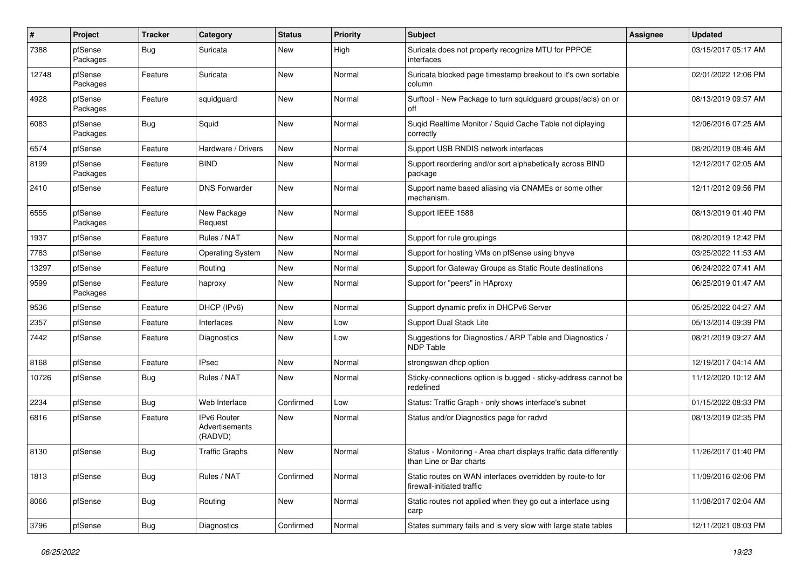| #     | Project             | <b>Tracker</b> | Category                                 | <b>Status</b> | <b>Priority</b> | <b>Subject</b>                                                                                | <b>Assignee</b> | <b>Updated</b>      |
|-------|---------------------|----------------|------------------------------------------|---------------|-----------------|-----------------------------------------------------------------------------------------------|-----------------|---------------------|
| 7388  | pfSense<br>Packages | Bug            | Suricata                                 | New           | High            | Suricata does not property recognize MTU for PPPOE<br>interfaces                              |                 | 03/15/2017 05:17 AM |
| 12748 | pfSense<br>Packages | Feature        | Suricata                                 | New           | Normal          | Suricata blocked page timestamp breakout to it's own sortable<br>column                       |                 | 02/01/2022 12:06 PM |
| 4928  | pfSense<br>Packages | Feature        | squidguard                               | <b>New</b>    | Normal          | Surftool - New Package to turn squidguard groups(/acls) on or<br>off                          |                 | 08/13/2019 09:57 AM |
| 6083  | pfSense<br>Packages | Bug            | Squid                                    | New           | Normal          | Suqid Realtime Monitor / Squid Cache Table not diplaying<br>correctly                         |                 | 12/06/2016 07:25 AM |
| 6574  | pfSense             | Feature        | Hardware / Drivers                       | <b>New</b>    | Normal          | Support USB RNDIS network interfaces                                                          |                 | 08/20/2019 08:46 AM |
| 8199  | pfSense<br>Packages | Feature        | <b>BIND</b>                              | <b>New</b>    | Normal          | Support reordering and/or sort alphabetically across BIND<br>package                          |                 | 12/12/2017 02:05 AM |
| 2410  | pfSense             | Feature        | <b>DNS Forwarder</b>                     | <b>New</b>    | Normal          | Support name based aliasing via CNAMEs or some other<br>mechanism.                            |                 | 12/11/2012 09:56 PM |
| 6555  | pfSense<br>Packages | Feature        | New Package<br>Request                   | <b>New</b>    | Normal          | Support IEEE 1588                                                                             |                 | 08/13/2019 01:40 PM |
| 1937  | pfSense             | Feature        | Rules / NAT                              | <b>New</b>    | Normal          | Support for rule groupings                                                                    |                 | 08/20/2019 12:42 PM |
| 7783  | pfSense             | Feature        | <b>Operating System</b>                  | New           | Normal          | Support for hosting VMs on pfSense using bhyve                                                |                 | 03/25/2022 11:53 AM |
| 13297 | pfSense             | Feature        | Routing                                  | New           | Normal          | Support for Gateway Groups as Static Route destinations                                       |                 | 06/24/2022 07:41 AM |
| 9599  | pfSense<br>Packages | Feature        | haproxy                                  | New           | Normal          | Support for "peers" in HAproxy                                                                |                 | 06/25/2019 01:47 AM |
| 9536  | pfSense             | Feature        | DHCP (IPv6)                              | <b>New</b>    | Normal          | Support dynamic prefix in DHCPv6 Server                                                       |                 | 05/25/2022 04:27 AM |
| 2357  | pfSense             | Feature        | Interfaces                               | New           | Low             | Support Dual Stack Lite                                                                       |                 | 05/13/2014 09:39 PM |
| 7442  | pfSense             | Feature        | Diagnostics                              | New           | Low             | Suggestions for Diagnostics / ARP Table and Diagnostics /<br><b>NDP Table</b>                 |                 | 08/21/2019 09:27 AM |
| 8168  | pfSense             | Feature        | <b>IPsec</b>                             | New           | Normal          | strongswan dhcp option                                                                        |                 | 12/19/2017 04:14 AM |
| 10726 | pfSense             | Bug            | Rules / NAT                              | New           | Normal          | Sticky-connections option is bugged - sticky-address cannot be<br>redefined                   |                 | 11/12/2020 10:12 AM |
| 2234  | pfSense             | Bug            | Web Interface                            | Confirmed     | Low             | Status: Traffic Graph - only shows interface's subnet                                         |                 | 01/15/2022 08:33 PM |
| 6816  | pfSense             | Feature        | IPv6 Router<br>Advertisements<br>(RADVD) | New           | Normal          | Status and/or Diagnostics page for radvd                                                      |                 | 08/13/2019 02:35 PM |
| 8130  | pfSense             | Bug            | <b>Traffic Graphs</b>                    | New           | Normal          | Status - Monitoring - Area chart displays traffic data differently<br>than Line or Bar charts |                 | 11/26/2017 01:40 PM |
| 1813  | pfSense             | <b>Bug</b>     | Rules / NAT                              | Confirmed     | Normal          | Static routes on WAN interfaces overridden by route-to for<br>firewall-initiated traffic      |                 | 11/09/2016 02:06 PM |
| 8066  | pfSense             | <b>Bug</b>     | Routing                                  | New           | Normal          | Static routes not applied when they go out a interface using<br>carp                          |                 | 11/08/2017 02:04 AM |
| 3796  | pfSense             | <b>Bug</b>     | Diagnostics                              | Confirmed     | Normal          | States summary fails and is very slow with large state tables                                 |                 | 12/11/2021 08:03 PM |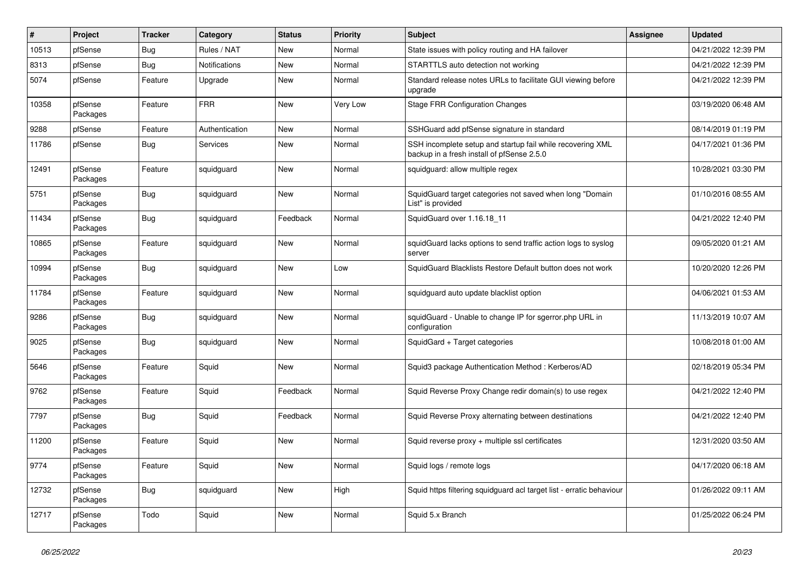| $\sharp$ | Project             | <b>Tracker</b> | Category       | <b>Status</b> | <b>Priority</b> | <b>Subject</b>                                                                                           | <b>Assignee</b> | <b>Updated</b>      |
|----------|---------------------|----------------|----------------|---------------|-----------------|----------------------------------------------------------------------------------------------------------|-----------------|---------------------|
| 10513    | pfSense             | <b>Bug</b>     | Rules / NAT    | <b>New</b>    | Normal          | State issues with policy routing and HA failover                                                         |                 | 04/21/2022 12:39 PM |
| 8313     | pfSense             | <b>Bug</b>     | Notifications  | <b>New</b>    | Normal          | STARTTLS auto detection not working                                                                      |                 | 04/21/2022 12:39 PM |
| 5074     | pfSense             | Feature        | Upgrade        | New           | Normal          | Standard release notes URLs to facilitate GUI viewing before<br>upgrade                                  |                 | 04/21/2022 12:39 PM |
| 10358    | pfSense<br>Packages | Feature        | <b>FRR</b>     | <b>New</b>    | Very Low        | <b>Stage FRR Configuration Changes</b>                                                                   |                 | 03/19/2020 06:48 AM |
| 9288     | pfSense             | Feature        | Authentication | New           | Normal          | SSHGuard add pfSense signature in standard                                                               |                 | 08/14/2019 01:19 PM |
| 11786    | pfSense             | <b>Bug</b>     | Services       | <b>New</b>    | Normal          | SSH incomplete setup and startup fail while recovering XML<br>backup in a fresh install of pfSense 2.5.0 |                 | 04/17/2021 01:36 PM |
| 12491    | pfSense<br>Packages | Feature        | squidguard     | New           | Normal          | squidguard: allow multiple regex                                                                         |                 | 10/28/2021 03:30 PM |
| 5751     | pfSense<br>Packages | Bug            | squidguard     | <b>New</b>    | Normal          | SquidGuard target categories not saved when long "Domain<br>List" is provided                            |                 | 01/10/2016 08:55 AM |
| 11434    | pfSense<br>Packages | Bug            | squidguard     | Feedback      | Normal          | SquidGuard over 1.16.18_11                                                                               |                 | 04/21/2022 12:40 PM |
| 10865    | pfSense<br>Packages | Feature        | squidguard     | <b>New</b>    | Normal          | squidGuard lacks options to send traffic action logs to syslog<br>server                                 |                 | 09/05/2020 01:21 AM |
| 10994    | pfSense<br>Packages | <b>Bug</b>     | squidguard     | <b>New</b>    | Low             | SquidGuard Blacklists Restore Default button does not work                                               |                 | 10/20/2020 12:26 PM |
| 11784    | pfSense<br>Packages | Feature        | squidguard     | <b>New</b>    | Normal          | squidguard auto update blacklist option                                                                  |                 | 04/06/2021 01:53 AM |
| 9286     | pfSense<br>Packages | <b>Bug</b>     | squidguard     | New           | Normal          | squidGuard - Unable to change IP for sgerror.php URL in<br>configuration                                 |                 | 11/13/2019 10:07 AM |
| 9025     | pfSense<br>Packages | <b>Bug</b>     | squidguard     | <b>New</b>    | Normal          | SquidGard + Target categories                                                                            |                 | 10/08/2018 01:00 AM |
| 5646     | pfSense<br>Packages | Feature        | Squid          | <b>New</b>    | Normal          | Squid3 package Authentication Method: Kerberos/AD                                                        |                 | 02/18/2019 05:34 PM |
| 9762     | pfSense<br>Packages | Feature        | Squid          | Feedback      | Normal          | Squid Reverse Proxy Change redir domain(s) to use regex                                                  |                 | 04/21/2022 12:40 PM |
| 7797     | pfSense<br>Packages | <b>Bug</b>     | Squid          | Feedback      | Normal          | Squid Reverse Proxy alternating between destinations                                                     |                 | 04/21/2022 12:40 PM |
| 11200    | pfSense<br>Packages | Feature        | Squid          | New           | Normal          | Squid reverse proxy + multiple ssl certificates                                                          |                 | 12/31/2020 03:50 AM |
| 9774     | pfSense<br>Packages | Feature        | Squid          | New           | Normal          | Squid logs / remote logs                                                                                 |                 | 04/17/2020 06:18 AM |
| 12732    | pfSense<br>Packages | Bug            | squidguard     | <b>New</b>    | High            | Squid https filtering squidguard acl target list - erratic behaviour                                     |                 | 01/26/2022 09:11 AM |
| 12717    | pfSense<br>Packages | Todo           | Squid          | <b>New</b>    | Normal          | Squid 5.x Branch                                                                                         |                 | 01/25/2022 06:24 PM |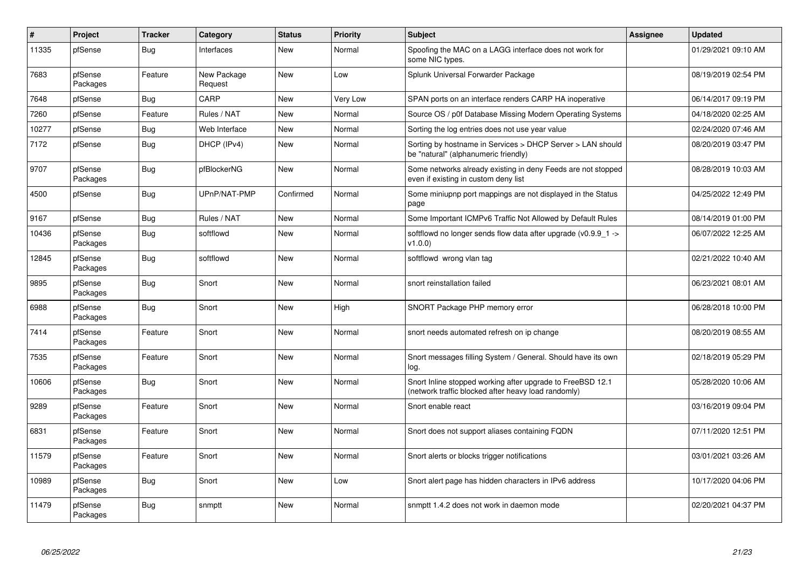| $\sharp$ | Project             | <b>Tracker</b> | Category               | <b>Status</b> | <b>Priority</b> | <b>Subject</b>                                                                                                    | <b>Assignee</b> | <b>Updated</b>      |
|----------|---------------------|----------------|------------------------|---------------|-----------------|-------------------------------------------------------------------------------------------------------------------|-----------------|---------------------|
| 11335    | pfSense             | <b>Bug</b>     | Interfaces             | <b>New</b>    | Normal          | Spoofing the MAC on a LAGG interface does not work for<br>some NIC types.                                         |                 | 01/29/2021 09:10 AM |
| 7683     | pfSense<br>Packages | Feature        | New Package<br>Request | New           | Low             | Splunk Universal Forwarder Package                                                                                |                 | 08/19/2019 02:54 PM |
| 7648     | pfSense             | Bug            | CARP                   | New           | Very Low        | SPAN ports on an interface renders CARP HA inoperative                                                            |                 | 06/14/2017 09:19 PM |
| 7260     | pfSense             | Feature        | Rules / NAT            | <b>New</b>    | Normal          | Source OS / p0f Database Missing Modern Operating Systems                                                         |                 | 04/18/2020 02:25 AM |
| 10277    | pfSense             | <b>Bug</b>     | Web Interface          | <b>New</b>    | Normal          | Sorting the log entries does not use year value                                                                   |                 | 02/24/2020 07:46 AM |
| 7172     | pfSense             | <b>Bug</b>     | DHCP (IPv4)            | <b>New</b>    | Normal          | Sorting by hostname in Services > DHCP Server > LAN should<br>be "natural" (alphanumeric friendly)                |                 | 08/20/2019 03:47 PM |
| 9707     | pfSense<br>Packages | <b>Bug</b>     | pfBlockerNG            | <b>New</b>    | Normal          | Some networks already existing in deny Feeds are not stopped<br>even if existing in custom deny list              |                 | 08/28/2019 10:03 AM |
| 4500     | pfSense             | <b>Bug</b>     | UPnP/NAT-PMP           | Confirmed     | Normal          | Some miniupnp port mappings are not displayed in the Status<br>page                                               |                 | 04/25/2022 12:49 PM |
| 9167     | pfSense             | Bug            | Rules / NAT            | New           | Normal          | Some Important ICMPv6 Traffic Not Allowed by Default Rules                                                        |                 | 08/14/2019 01:00 PM |
| 10436    | pfSense<br>Packages | <b>Bug</b>     | softflowd              | New           | Normal          | softflowd no longer sends flow data after upgrade ( $v0.9.9$ 1 -><br>v1.0.0                                       |                 | 06/07/2022 12:25 AM |
| 12845    | pfSense<br>Packages | Bug            | softflowd              | <b>New</b>    | Normal          | softflowd wrong vlan tag                                                                                          |                 | 02/21/2022 10:40 AM |
| 9895     | pfSense<br>Packages | Bug            | Snort                  | New           | Normal          | snort reinstallation failed                                                                                       |                 | 06/23/2021 08:01 AM |
| 6988     | pfSense<br>Packages | Bug            | Snort                  | <b>New</b>    | High            | SNORT Package PHP memory error                                                                                    |                 | 06/28/2018 10:00 PM |
| 7414     | pfSense<br>Packages | Feature        | Snort                  | <b>New</b>    | Normal          | snort needs automated refresh on ip change                                                                        |                 | 08/20/2019 08:55 AM |
| 7535     | pfSense<br>Packages | Feature        | Snort                  | <b>New</b>    | Normal          | Snort messages filling System / General. Should have its own<br>log.                                              |                 | 02/18/2019 05:29 PM |
| 10606    | pfSense<br>Packages | Bug            | Snort                  | <b>New</b>    | Normal          | Snort Inline stopped working after upgrade to FreeBSD 12.1<br>(network traffic blocked after heavy load randomly) |                 | 05/28/2020 10:06 AM |
| 9289     | pfSense<br>Packages | Feature        | Snort                  | <b>New</b>    | Normal          | Snort enable react                                                                                                |                 | 03/16/2019 09:04 PM |
| 6831     | pfSense<br>Packages | Feature        | Snort                  | New           | Normal          | Snort does not support aliases containing FQDN                                                                    |                 | 07/11/2020 12:51 PM |
| 11579    | pfSense<br>Packages | Feature        | Snort                  | <b>New</b>    | Normal          | Snort alerts or blocks trigger notifications                                                                      |                 | 03/01/2021 03:26 AM |
| 10989    | pfSense<br>Packages | <b>Bug</b>     | Snort                  | New           | Low             | Snort alert page has hidden characters in IPv6 address                                                            |                 | 10/17/2020 04:06 PM |
| 11479    | pfSense<br>Packages | <b>Bug</b>     | snmptt                 | <b>New</b>    | Normal          | snmptt 1.4.2 does not work in daemon mode                                                                         |                 | 02/20/2021 04:37 PM |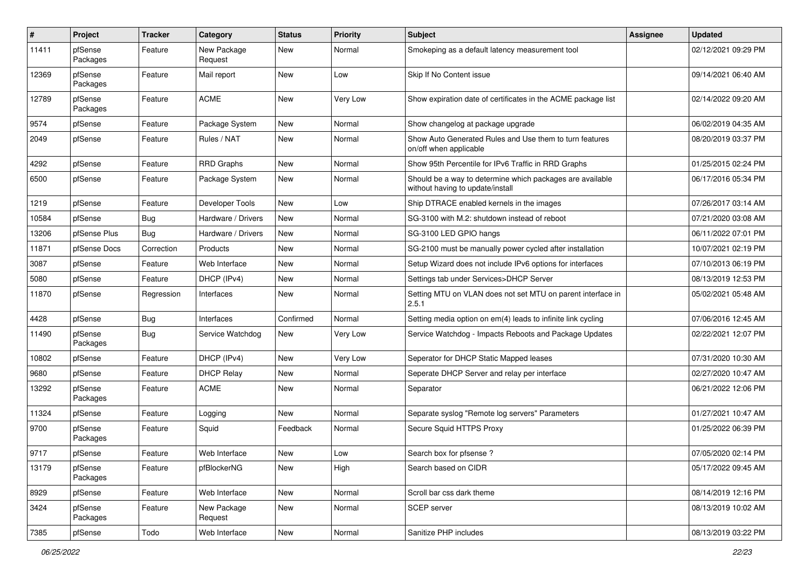| $\pmb{\#}$ | Project             | <b>Tracker</b> | Category               | <b>Status</b> | <b>Priority</b> | <b>Subject</b>                                                                                | <b>Assignee</b> | <b>Updated</b>      |
|------------|---------------------|----------------|------------------------|---------------|-----------------|-----------------------------------------------------------------------------------------------|-----------------|---------------------|
| 11411      | pfSense<br>Packages | Feature        | New Package<br>Request | New           | Normal          | Smokeping as a default latency measurement tool                                               |                 | 02/12/2021 09:29 PM |
| 12369      | pfSense<br>Packages | Feature        | Mail report            | New           | Low             | Skip If No Content issue                                                                      |                 | 09/14/2021 06:40 AM |
| 12789      | pfSense<br>Packages | Feature        | ACME                   | <b>New</b>    | Very Low        | Show expiration date of certificates in the ACME package list                                 |                 | 02/14/2022 09:20 AM |
| 9574       | pfSense             | Feature        | Package System         | New           | Normal          | Show changelog at package upgrade                                                             |                 | 06/02/2019 04:35 AM |
| 2049       | pfSense             | Feature        | Rules / NAT            | New           | Normal          | Show Auto Generated Rules and Use them to turn features<br>on/off when applicable             |                 | 08/20/2019 03:37 PM |
| 4292       | pfSense             | Feature        | <b>RRD Graphs</b>      | New           | Normal          | Show 95th Percentile for IPv6 Traffic in RRD Graphs                                           |                 | 01/25/2015 02:24 PM |
| 6500       | pfSense             | Feature        | Package System         | New           | Normal          | Should be a way to determine which packages are available<br>without having to update/install |                 | 06/17/2016 05:34 PM |
| 1219       | pfSense             | Feature        | Developer Tools        | <b>New</b>    | Low             | Ship DTRACE enabled kernels in the images                                                     |                 | 07/26/2017 03:14 AM |
| 10584      | pfSense             | <b>Bug</b>     | Hardware / Drivers     | New           | Normal          | SG-3100 with M.2: shutdown instead of reboot                                                  |                 | 07/21/2020 03:08 AM |
| 13206      | pfSense Plus        | Bug            | Hardware / Drivers     | New           | Normal          | SG-3100 LED GPIO hangs                                                                        |                 | 06/11/2022 07:01 PM |
| 11871      | pfSense Docs        | Correction     | Products               | New           | Normal          | SG-2100 must be manually power cycled after installation                                      |                 | 10/07/2021 02:19 PM |
| 3087       | pfSense             | Feature        | Web Interface          | New           | Normal          | Setup Wizard does not include IPv6 options for interfaces                                     |                 | 07/10/2013 06:19 PM |
| 5080       | pfSense             | Feature        | DHCP (IPv4)            | <b>New</b>    | Normal          | Settings tab under Services>DHCP Server                                                       |                 | 08/13/2019 12:53 PM |
| 11870      | pfSense             | Regression     | Interfaces             | <b>New</b>    | Normal          | Setting MTU on VLAN does not set MTU on parent interface in<br>2.5.1                          |                 | 05/02/2021 05:48 AM |
| 4428       | pfSense             | Bug            | Interfaces             | Confirmed     | Normal          | Setting media option on em(4) leads to infinite link cycling                                  |                 | 07/06/2016 12:45 AM |
| 11490      | pfSense<br>Packages | Bug            | Service Watchdog       | New           | Very Low        | Service Watchdog - Impacts Reboots and Package Updates                                        |                 | 02/22/2021 12:07 PM |
| 10802      | pfSense             | Feature        | DHCP (IPv4)            | New           | Very Low        | Seperator for DHCP Static Mapped leases                                                       |                 | 07/31/2020 10:30 AM |
| 9680       | pfSense             | Feature        | <b>DHCP Relay</b>      | <b>New</b>    | Normal          | Seperate DHCP Server and relay per interface                                                  |                 | 02/27/2020 10:47 AM |
| 13292      | pfSense<br>Packages | Feature        | <b>ACME</b>            | New           | Normal          | Separator                                                                                     |                 | 06/21/2022 12:06 PM |
| 11324      | pfSense             | Feature        | Logging                | New           | Normal          | Separate syslog "Remote log servers" Parameters                                               |                 | 01/27/2021 10:47 AM |
| 9700       | pfSense<br>Packages | Feature        | Squid                  | Feedback      | Normal          | Secure Squid HTTPS Proxy                                                                      |                 | 01/25/2022 06:39 PM |
| 9717       | pfSense             | Feature        | Web Interface          | New           | Low             | Search box for pfsense?                                                                       |                 | 07/05/2020 02:14 PM |
| 13179      | pfSense<br>Packages | Feature        | pfBlockerNG            | New           | High            | Search based on CIDR                                                                          |                 | 05/17/2022 09:45 AM |
| 8929       | pfSense             | Feature        | Web Interface          | New           | Normal          | Scroll bar css dark theme                                                                     |                 | 08/14/2019 12:16 PM |
| 3424       | pfSense<br>Packages | Feature        | New Package<br>Request | New           | Normal          | SCEP server                                                                                   |                 | 08/13/2019 10:02 AM |
| 7385       | pfSense             | Todo           | Web Interface          | New           | Normal          | Sanitize PHP includes                                                                         |                 | 08/13/2019 03:22 PM |